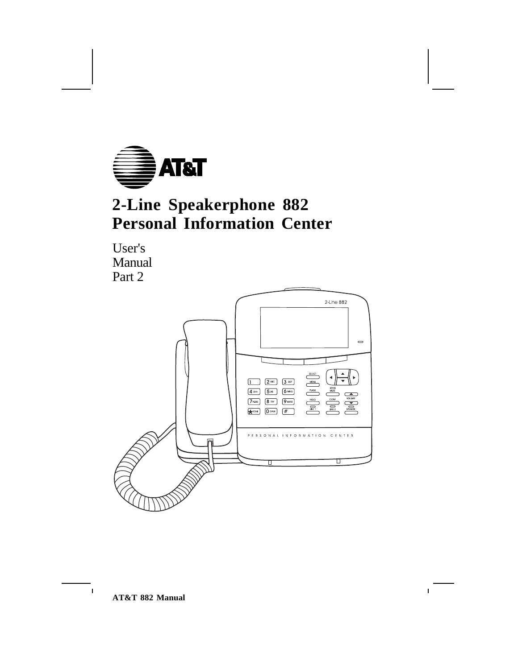

# **2-Line Speakerphone 882 Personal Information Center**

User's Manual Part 2



**AT&T 882 Manual**

 $\overline{1}$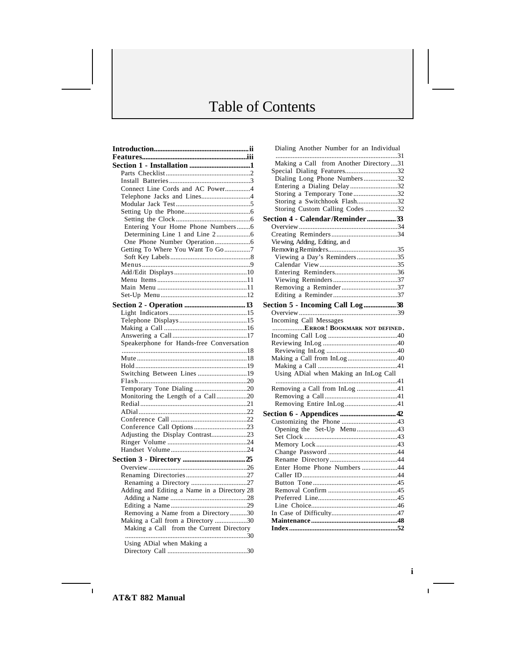# Table of Contents

| Connect Line Cords and AC Power4                                              |
|-------------------------------------------------------------------------------|
|                                                                               |
|                                                                               |
|                                                                               |
|                                                                               |
| Entering Your Home Phone Numbers6                                             |
|                                                                               |
|                                                                               |
| Getting To Where You Want To Go7                                              |
|                                                                               |
|                                                                               |
|                                                                               |
|                                                                               |
|                                                                               |
|                                                                               |
|                                                                               |
|                                                                               |
|                                                                               |
|                                                                               |
|                                                                               |
|                                                                               |
| Speakerphone for Hands-free Conversation                                      |
|                                                                               |
|                                                                               |
|                                                                               |
| Switching Between Lines 19                                                    |
|                                                                               |
| Monitoring the Length of a Call20                                             |
|                                                                               |
|                                                                               |
|                                                                               |
| Conference Call Options23                                                     |
| Adjusting the Display Contrast23                                              |
|                                                                               |
|                                                                               |
|                                                                               |
|                                                                               |
|                                                                               |
|                                                                               |
|                                                                               |
| Adding and Editing a Name in a Directory 28                                   |
|                                                                               |
|                                                                               |
| Removing a Name from a Directory30                                            |
| Making a Call from a Directory 30<br>Making a Call from the Current Directory |
|                                                                               |
| Using ADial when Making a                                                     |
|                                                                               |
|                                                                               |

|  | Dialing Another Number for an Individual |  |  |
|--|------------------------------------------|--|--|
|  |                                          |  |  |

| Making a Call from Another Directory31 |  |
|----------------------------------------|--|
| Special Dialing Features32             |  |
| Dialing Long Phone Numbers32           |  |
| Entering a Dialing Delay 32            |  |
| Storing a Temporary Tone32             |  |
| Storing a Switchhook Flash32           |  |
| Storing Custom Calling Codes 32        |  |
| Section 4 - Calendar/Reminder33        |  |
|                                        |  |
|                                        |  |
| Viewing, Adding, Editing, and          |  |
|                                        |  |
| Viewing a Day's Reminders35            |  |
|                                        |  |
|                                        |  |
|                                        |  |
| Removing a Reminder37                  |  |
|                                        |  |
| Section 5 - Incoming Call Log38        |  |
|                                        |  |
| Incoming Call Messages                 |  |
| ERROR! BOOKMARK NOT DEFINED.           |  |
|                                        |  |
|                                        |  |
|                                        |  |
| Making a Call from InLog40             |  |
|                                        |  |
| Using ADial when Making an InLog Call  |  |
| Removing a Call from InLog 41          |  |
|                                        |  |
| Removing Entire InLog 41               |  |
|                                        |  |
|                                        |  |
|                                        |  |
| Opening the Set-Up Menu43              |  |
|                                        |  |
|                                        |  |
|                                        |  |
| Enter Home Phone Numbers 44            |  |
|                                        |  |
|                                        |  |
|                                        |  |
|                                        |  |
|                                        |  |
|                                        |  |
|                                        |  |
|                                        |  |
|                                        |  |

**AT&T 882 Manual**

 $\mathbf{I}$ 

**i**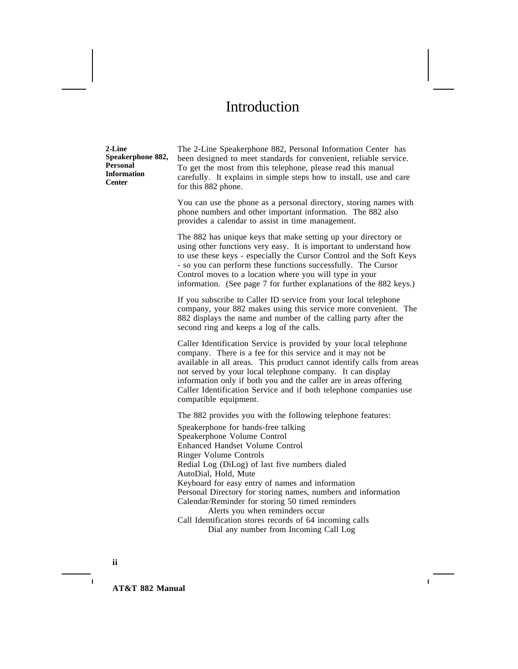## Introduction

**2-Line Speakerphone 882, Personal Information Center**

The 2-Line Speakerphone 882, Personal Information Center has been designed to meet standards for convenient, reliable service. To get the most from this telephone, please read this manual carefully. It explains in simple steps how to install, use and care for this 882 phone.

You can use the phone as a personal directory, storing names with phone numbers and other important information. The 882 also provides a calendar to assist in time management.

The 882 has unique keys that make setting up your directory or using other functions very easy. It is important to understand how to use these keys - especially the Cursor Control and the Soft Keys - so you can perform these functions successfully. The Cursor Control moves to a location where you will type in your information. (See page 7 for further explanations of the 882 keys.)

If you subscribe to Caller ID service from your local telephone company, your 882 makes using this service more convenient. The 882 displays the name and number of the calling party after the second ring and keeps a log of the calls.

Caller Identification Service is provided by your local telephone company. There is a fee for this service and it may not be available in all areas. This product cannot identify calls from areas not served by your local telephone company. It can display information only if both you and the caller are in areas offering Caller Identification Service and if both telephone companies use compatible equipment.

The 882 provides you with the following telephone features:

Speakerphone for hands-free talking Speakerphone Volume Control Enhanced Handset Volume Control Ringer Volume Controls Redial Log (DiLog) of last five numbers dialed AutoDial, Hold, Mute Keyboard for easy entry of names and information Personal Directory for storing names, numbers and information Calendar/Reminder for storing 50 timed reminders Alerts you when reminders occur Call Identification stores records of 64 incoming calls Dial any number from Incoming Call Log

**ii**

**AT&T 882 Manual**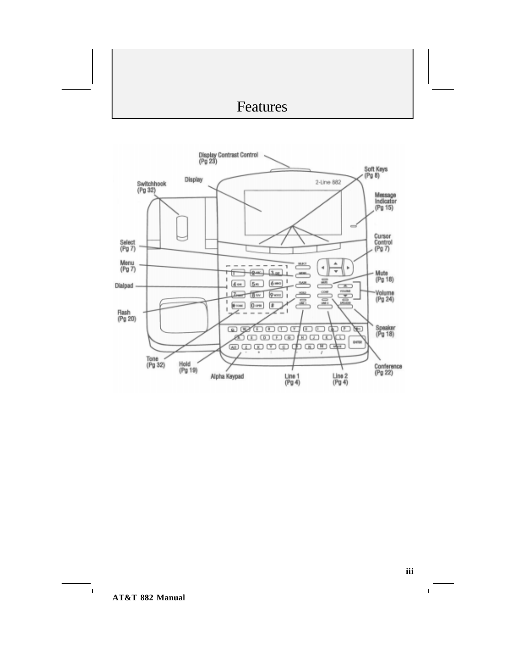## Features



 $\mathbf{I}$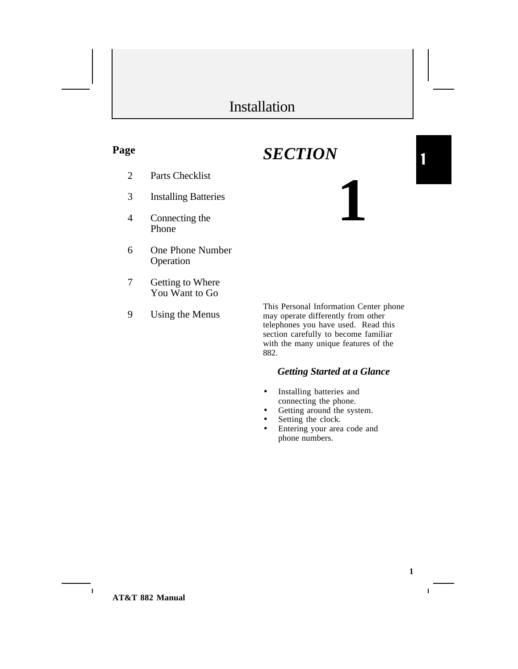#### **Page**

- 2 Parts Checklist
- 3 Installing Batteries
- 4 Connecting the Phone
- 6 One Phone Number Operation
- 7 Getting to Where You Want to Go
- 9 Using the Menus

This Personal Information Center phone may operate differently from other telephones you have used. Read this section carefully to become familiar with the many unique features of the 882.

**1**

#### *Getting Started at a Glance*

- Installing batteries and connecting the phone.
- Getting around the system.
- Setting the clock.
- Entering your area code and phone numbers.

**AT&T 882 Manual**

 $\overline{1}$ 

# *SECTION*

1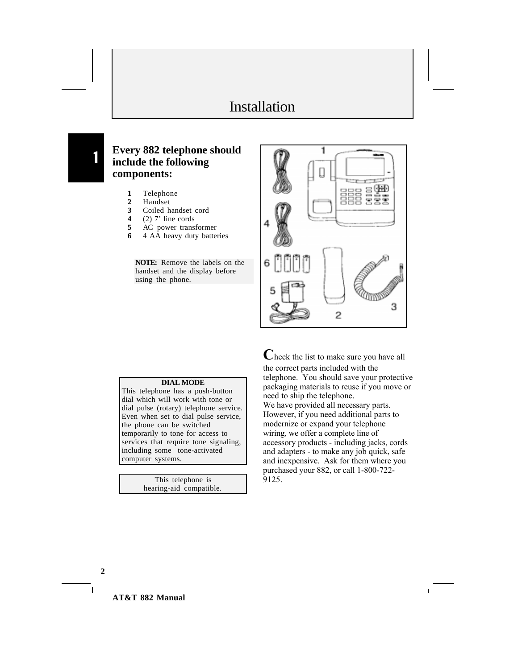#### **Every 882 telephone should include the following components:**

- **1** Telephone
- 2 Handset<br>3 Coiled ha
- **3** Coiled handset cord<br>**4** (2) 7' line cords
- **4** (2) 7' line cords
- **5** AC power transformer **6** 4 AA heavy duty batteries

**NOTE:** Remove the labels on the handset and the display before using the phone.



#### **DIAL MODE**

This telephone has a push-button dial which will work with tone or dial pulse (rotary) telephone service. Even when set to dial pulse service, the phone can be switched temporarily to tone for access to services that require tone signaling, including some tone-activated computer systems.

> This telephone is hearing-aid compatible.

**C**heck the list to make sure you have all the correct parts included with the telephone. You should save your protective packaging materials to reuse if you move or need to ship the telephone. We have provided all necessary parts. However, if you need additional parts to modernize or expand your telephone wiring, we offer a complete line of accessory products - including jacks, cords and adapters - to make any job quick, safe and inexpensive. Ask for them where you purchased your 882, or call 1-800-722- 9125.

**2**

**AT&T 882 Manual**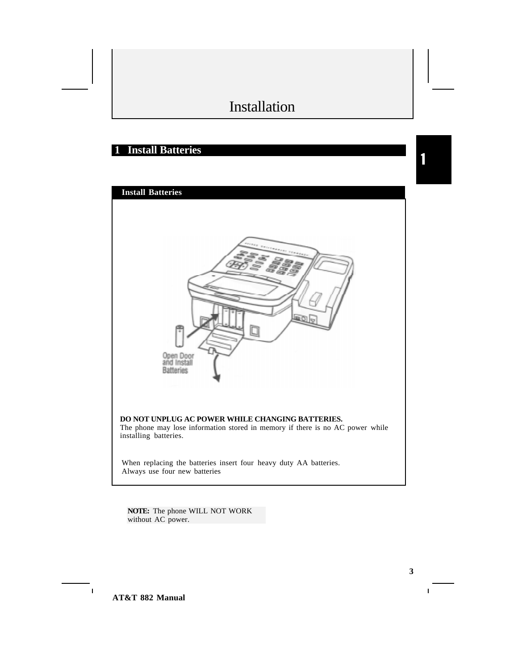#### **1 Install Batteries**

1



**NOTE:** The phone WILL NOT WORK without AC power.

 $\mathbf{I}$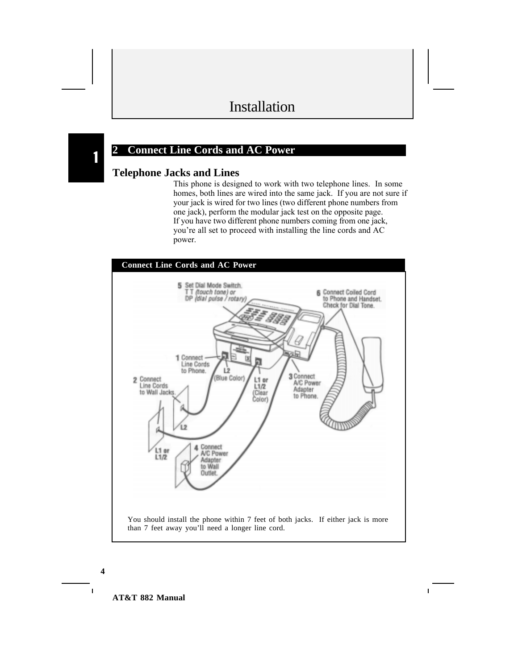#### **2 Connect Line Cords and AC Power**

#### **Telephone Jacks and Lines**

This phone is designed to work with two telephone lines. In some homes, both lines are wired into the same jack. If you are not sure if your jack is wired for two lines (two different phone numbers from one jack), perform the modular jack test on the opposite page. If you have two different phone numbers coming from one jack, you're all set to proceed with installing the line cords and AC power.



 $\overline{1}$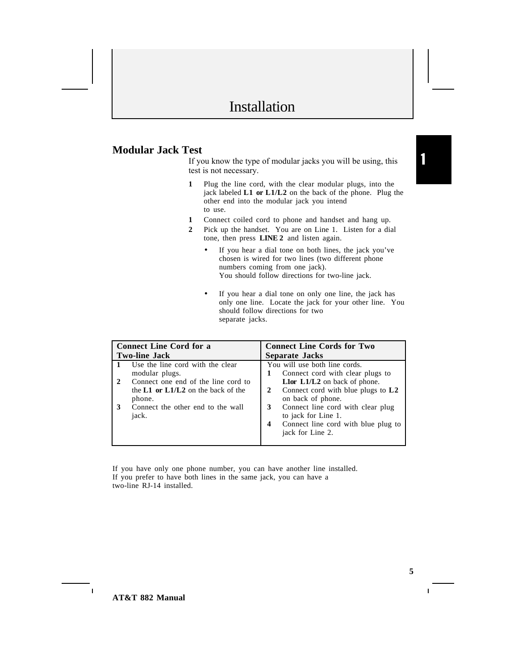#### **Modular Jack Test**

If you know the type of modular jacks you will be using, this test is not necessary.

- **1** Plug the line cord, with the clear modular plugs, into the jack labeled **L1 or L1/L2** on the back of the phone. Plug the other end into the modular jack you intend to use.
- **1** Connect coiled cord to phone and handset and hang up.
- **2** Pick up the handset. You are on Line 1. Listen for a dial tone, then press **LINE 2** and listen again.
	- If you hear a dial tone on both lines, the jack you've chosen is wired for two lines (two different phone numbers coming from one jack). You should follow directions for two-line jack.
	- If you hear a dial tone on only one line, the jack has only one line. Locate the jack for your other line. You should follow directions for two separate jacks.

| <b>Connect Line Cord for a</b>                                                                                                                          | <b>Connect Line Cords for Two</b>                                                                                                                                                                                                 |
|---------------------------------------------------------------------------------------------------------------------------------------------------------|-----------------------------------------------------------------------------------------------------------------------------------------------------------------------------------------------------------------------------------|
| <b>Two-line Jack</b>                                                                                                                                    | Separate Jacks                                                                                                                                                                                                                    |
| Use the line cord with the clear<br>modular plugs.                                                                                                      | You will use both line cords.<br>Connect cord with clear plugs to                                                                                                                                                                 |
| Connect one end of the line cord to<br>$\overline{2}$<br>the $L1$ or $L1/L2$ on the back of the<br>phone.<br>Connect the other end to the wall<br>jack. | Llor $L1/L2$ on back of phone.<br>Connect cord with blue plugs to $L2$<br>2<br>on back of phone.<br>Connect line cord with clear plug<br>3<br>to jack for Line 1.<br>Connect line cord with blue plug to<br>4<br>jack for Line 2. |

If you have only one phone number, you can have another line installed. If you prefer to have both lines in the same jack, you can have a two-line RJ-14 installed.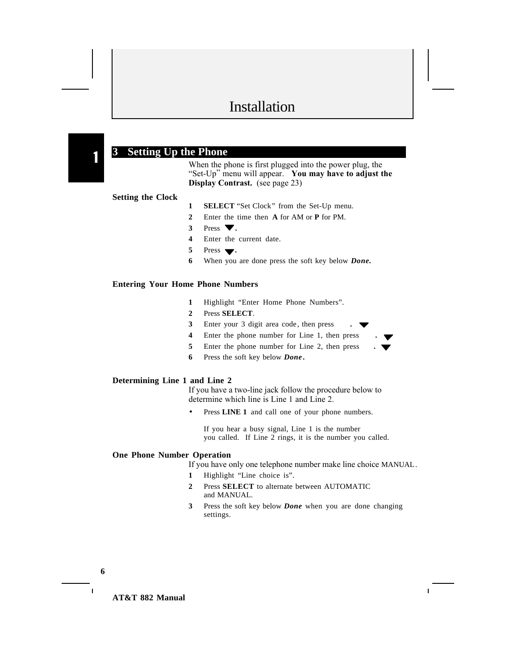#### **3 Setting Up the Phone**

When the phone is first plugged into the power plug, the "Set-Up" menu will appear. **You may have to adjust the Display Contrast.** (see page 23)

#### **Setting the Clock**

- **1 SELECT** "Set Clock" from the Set-Up menu.
- **2** Enter the time then **A** for AM or **P** for PM.
- **3** Press **.**
- **4** Enter the current date.
- **5** Press **.**
- **6** When you are done press the soft key below *Done.*

#### **Entering Your Home Phone Numbers**

- **1** Highlight "Enter Home Phone Numbers".
- **2** Press **SELECT**.
- **3** Enter your 3 digit area code, then press **.**
- **4** Enter the phone number for Line 1, then press **.**
- **5** Enter the phone number for Line 2, then press **.**
- **6** Press the soft key below *Done***.**

#### **Determining Line 1 and Line 2**

If you have a two-line jack follow the procedure below to determine which line is Line 1 and Line 2.

• Press **LINE 1** and call one of your phone numbers.

If you hear a busy signal, Line 1 is the number you called. If Line 2 rings, it is the number you called.

#### **One Phone Number Operation**

If you have only one telephone number make line choice MANUAL.

- **1** Highlight "Line choice is".
- **2** Press **SELECT** to alternate between AUTOMATIC and MANUAL.
- **3** Press the soft key below *Done* when you are done changing settings.

**6**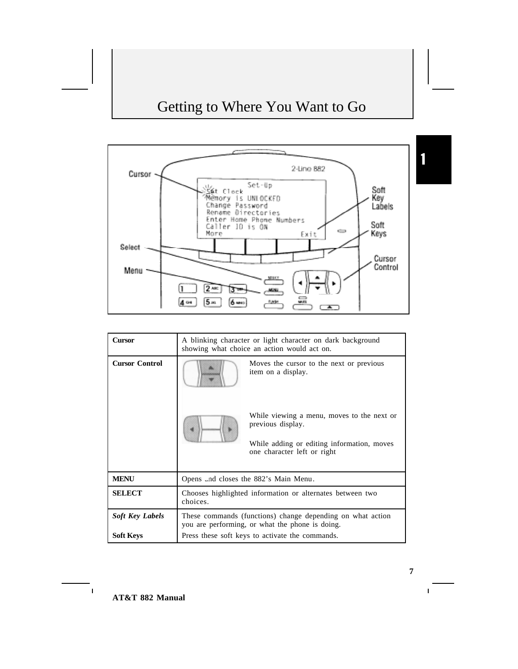# Getting to Where You Want to Go



| Cursor                 | A blinking character or light character on dark background<br>showing what choice an action would act on.     |                                                                                                                                                                                                                |  |
|------------------------|---------------------------------------------------------------------------------------------------------------|----------------------------------------------------------------------------------------------------------------------------------------------------------------------------------------------------------------|--|
| <b>Cursor Control</b>  |                                                                                                               | Moves the cursor to the next or previous<br>item on a display.<br>While viewing a menu, moves to the next or<br>previous display.<br>While adding or editing information, moves<br>one character left or right |  |
| <b>MENU</b>            | Opens and closes the 882's Main Menu.                                                                         |                                                                                                                                                                                                                |  |
| <b>SELECT</b>          | Chooses highlighted information or alternates between two<br>choices.                                         |                                                                                                                                                                                                                |  |
| <b>Soft Key Labels</b> | These commands (functions) change depending on what action<br>you are performing, or what the phone is doing. |                                                                                                                                                                                                                |  |
| <b>Soft Keys</b>       | Press these soft keys to activate the commands.                                                               |                                                                                                                                                                                                                |  |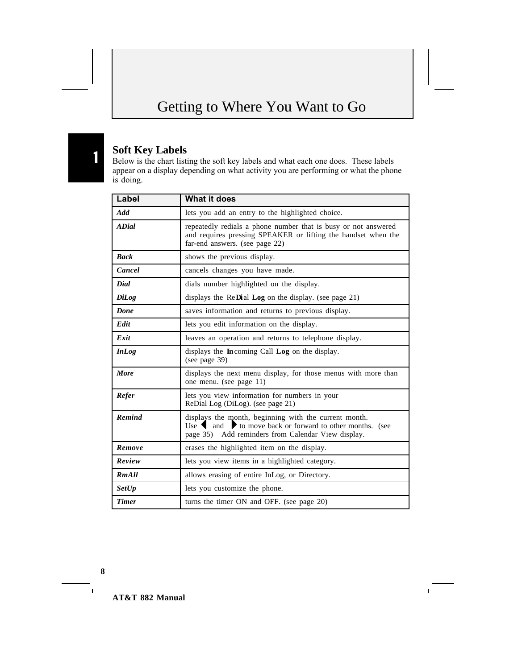# Getting to Where You Want to Go

#### **Soft Key Labels**

Below is the chart listing the soft key labels and what each one does. These labels appear on a display depending on what activity you are performing or what the phone is doing.

| Label         | What it does                                                                                                                                                                                          |
|---------------|-------------------------------------------------------------------------------------------------------------------------------------------------------------------------------------------------------|
| Add           | lets you add an entry to the highlighted choice.                                                                                                                                                      |
| <b>ADial</b>  | repeatedly redials a phone number that is busy or not answered<br>and requires pressing SPEAKER or lifting the handset when the<br>far-end answers. (see page 22)                                     |
| <b>Back</b>   | shows the previous display.                                                                                                                                                                           |
| Cancel        | cancels changes you have made.                                                                                                                                                                        |
| Dial          | dials number highlighted on the display.                                                                                                                                                              |
| DiLog         | displays the ReDial Log on the display. (see page 21)                                                                                                                                                 |
| Done          | saves information and returns to previous display.                                                                                                                                                    |
| Edit          | lets you edit information on the display.                                                                                                                                                             |
| Exit          | leaves an operation and returns to telephone display.                                                                                                                                                 |
| <b>InLog</b>  | displays the Incoming Call Log on the display.<br>(see page 39)                                                                                                                                       |
| <b>More</b>   | displays the next menu display, for those menus with more than<br>one menu. (see page 11)                                                                                                             |
| Refer         | lets you view information for numbers in your<br>ReDial Log (DiLog). (see page 21)                                                                                                                    |
| <b>Remind</b> | displays the month, beginning with the current month.<br>Use $\triangleleft$ and $\triangleright$ to move back or forward to other months. (see<br>page 35) Add reminders from Calendar View display. |
| Remove        | erases the highlighted item on the display.                                                                                                                                                           |
| Review        | lets you view items in a highlighted category.                                                                                                                                                        |
| <b>RmAll</b>  | allows erasing of entire InLog, or Directory.                                                                                                                                                         |
| <b>SetUp</b>  | lets you customize the phone.                                                                                                                                                                         |
| <b>Timer</b>  | turns the timer ON and OFF. (see page 20)                                                                                                                                                             |

**8**

 $\overline{\mathbf{I}}$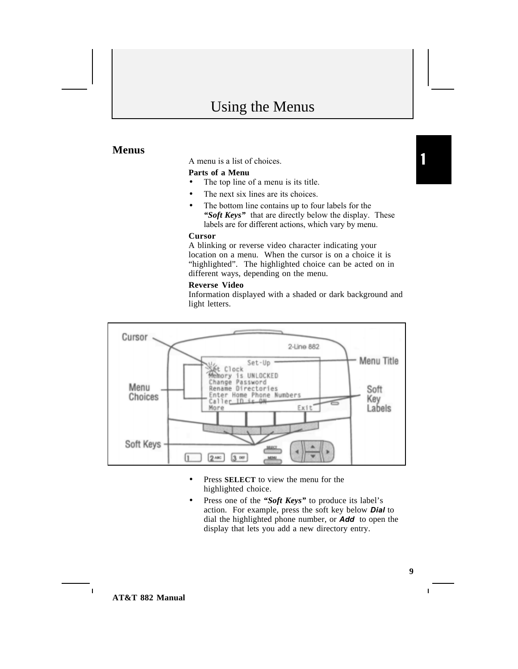#### **Menus**

A menu is a list of choices.

#### **Parts of a Menu**

- The top line of a menu is its title.
- The next six lines are its choices.
- The bottom line contains up to four labels for the "Soft Keys" that are directly below the display. These labels are for different actions, which vary by menu.

#### **Cursor**

A blinking or reverse video character indicating your location on a menu. When the cursor is on a choice it is "highlighted". The highlighted choice can be acted on in different ways, depending on the menu.

#### **Reverse Video**

Information displayed with a shaded or dark background and light letters.



- Press **SELECT** to view the menu for the highlighted choice.
- Press one of the *"Soft Keys"* to produce its label's action. For example, press the soft key below *Dial* to dial the highlighted phone number, or *Add* to open the display that lets you add a new directory entry.

 $\overline{1}$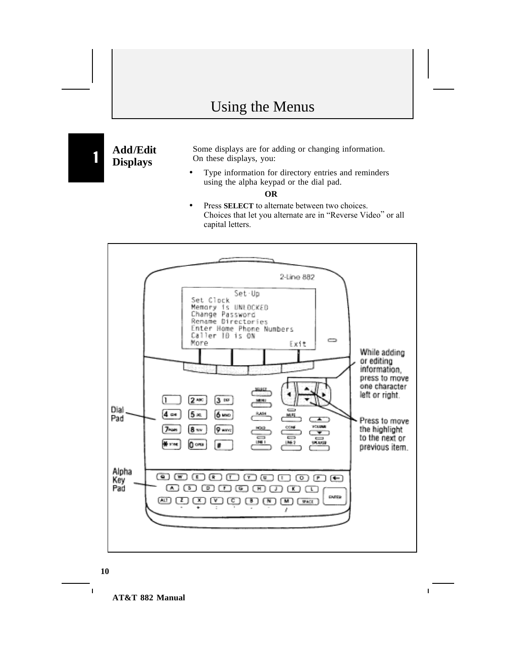#### **Add/Edit Displays**

1

Some displays are for adding or changing information. On these displays, you:

• Type information for directory entries and reminders using the alpha keypad or the dial pad.

**OR**

• Press **SELECT** to alternate between two choices. Choices that let you alternate are in "Reverse Video" or all capital letters.





 $\overline{\mathbf{I}}$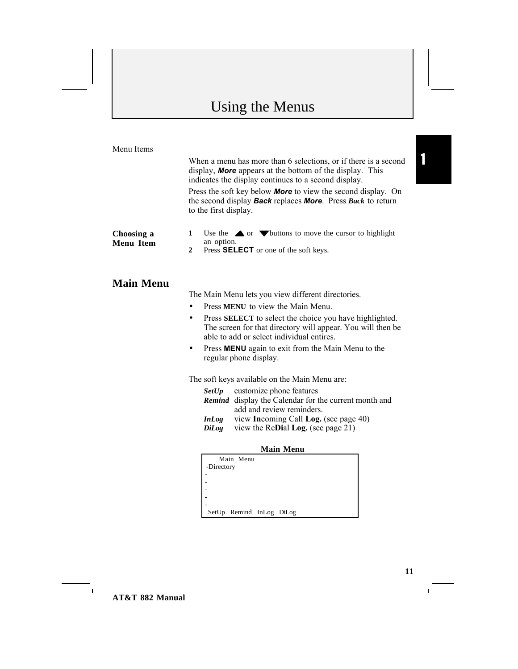#### Menu Items

|                                | When a menu has more than 6 selections, or if there is a second<br>display, <b>More</b> appears at the bottom of the display. This<br>indicates the display continues to a second display.<br>Press the soft key below <b>More</b> to view the second display. On |  |  |
|--------------------------------|-------------------------------------------------------------------------------------------------------------------------------------------------------------------------------------------------------------------------------------------------------------------|--|--|
|                                | the second display <b>Back</b> replaces <b>More</b> . Press <b>Back</b> to return<br>to the first display.                                                                                                                                                        |  |  |
| Choosing a<br><b>Menu</b> Item | 1<br>Use the $\triangle$ or $\triangledown$ buttons to move the cursor to highlight<br>an option.<br>2<br>Press <b>SELECT</b> or one of the soft keys.                                                                                                            |  |  |
| <b>Main Menu</b>               | The Main Menu lets you view different directories.                                                                                                                                                                                                                |  |  |
|                                | Press <b>MENU</b> to view the Main Menu.                                                                                                                                                                                                                          |  |  |
|                                | Press SELECT to select the choice you have highlighted.<br>The screen for that directory will appear. You will then be<br>able to add or select individual entires.<br>Press <b>MENU</b> again to exit from the Main Menu to the<br>regular phone display.        |  |  |
|                                |                                                                                                                                                                                                                                                                   |  |  |
|                                | The soft keys available on the Main Menu are:                                                                                                                                                                                                                     |  |  |
|                                | customize phone features<br><b>SetUp</b><br><b>Remind</b> display the Calendar for the current month and<br>add and review reminders.                                                                                                                             |  |  |
|                                | view Incoming Call Log. (see page 40)<br><i>InLog</i><br>view the ReDial Log. (see page 21)<br><b>DiLog</b>                                                                                                                                                       |  |  |
|                                | <b>Main Menu</b>                                                                                                                                                                                                                                                  |  |  |
|                                | Main Menu                                                                                                                                                                                                                                                         |  |  |
|                                | -Directory                                                                                                                                                                                                                                                        |  |  |
|                                |                                                                                                                                                                                                                                                                   |  |  |
|                                |                                                                                                                                                                                                                                                                   |  |  |
|                                |                                                                                                                                                                                                                                                                   |  |  |
|                                | SetUp Remind InLog DiLog                                                                                                                                                                                                                                          |  |  |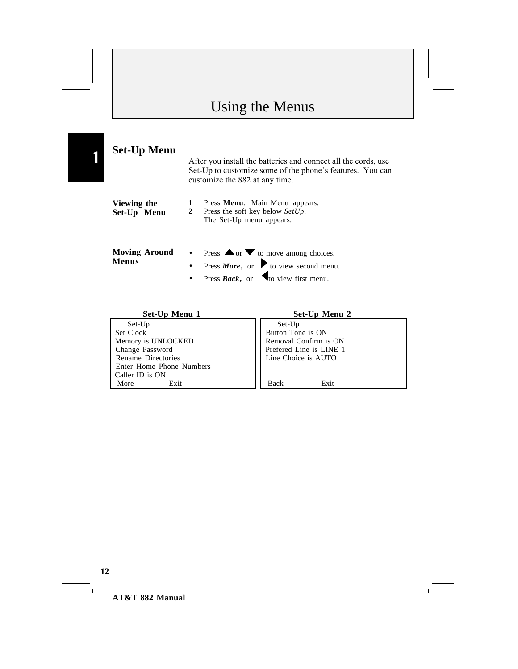|                            | After you install the batteries and connect all the cords, use<br>Set-Up to customize some of the phone's features. You can<br>customize the 882 at any time. |                                                                                                                                                                                                       |  |  |
|----------------------------|---------------------------------------------------------------------------------------------------------------------------------------------------------------|-------------------------------------------------------------------------------------------------------------------------------------------------------------------------------------------------------|--|--|
| Viewing the<br>Set-Up Menu | 1<br>2                                                                                                                                                        | Press Menu. Main Menu appears.<br>Press the soft key below SetUp.<br>The Set-Up menu appears.                                                                                                         |  |  |
| Menus                      |                                                                                                                                                               | <b>Moving Around</b> • Press $\triangle$ or $\nabla$ to move among choices.<br>• Press <i>More</i> , or $\triangleright$ to view second menu.<br>• Press Back, or $\triangleleft$ to view first menu. |  |  |

| Set-Up Menu 1            | <b>Set-Up Menu 2</b>    |
|--------------------------|-------------------------|
| Set-Up                   | Set-Up                  |
| Set Clock                | Button Tone is ON       |
| Memory is UNLOCKED       | Removal Confirm is ON   |
| Change Password          | Prefered Line is LINE 1 |
| Rename Directories       | Line Choice is AUTO     |
| Enter Home Phone Numbers |                         |
| Caller ID is ON          |                         |
| Exit<br>More             | <b>Back</b><br>Exit     |

**12**

 $\mathbf{I}$ 

**Set-Up Menu**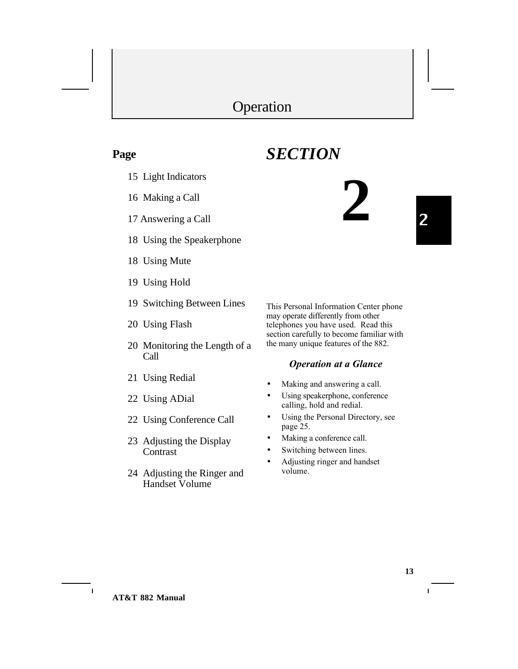*SECTION*

#### **Page**

- 15 Light Indicators
- 16 Making a Call
- 17 Answering a Call
- 18 Using the Speakerphone
- 18 Using Mute
- 19 Using Hold
- 19 Switching Between Lines
- 20 Using Flash
- 20 Monitoring the Length of a Call
- 21 Using Redial
- 22 Using ADial
- 22 Using Conference Call
- 23 Adjusting the Display **Contrast**
- 24 Adjusting the Ringer and Handset Volume

This Personal Information Center phone may operate differently from other telephones you have used. Read this section carefully to become familiar with the many unique features of the 882.

**2**

2

#### *Operation at a Glance*

- Making and answering a call.
- Using speakerphone, conference calling, hold and redial.
- Using the Personal Directory, see page 25.
- Making a conference call.
- Switching between lines.
- Adjusting ringer and handset volume.

 $\overline{\phantom{a}}$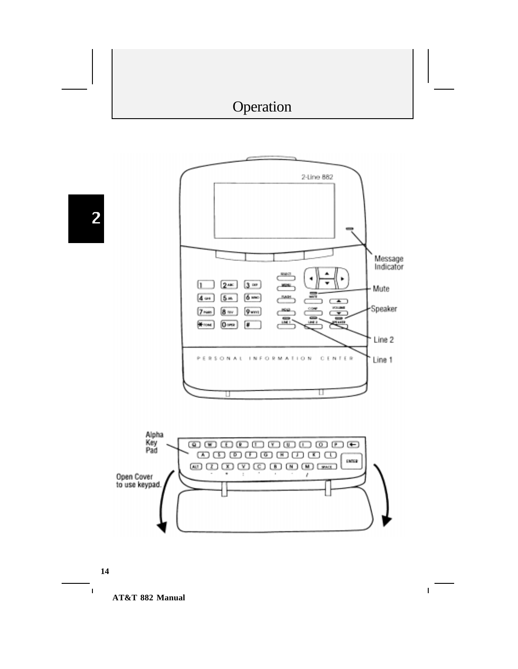



 $\blacksquare$ 

**AT&T 882 Manual**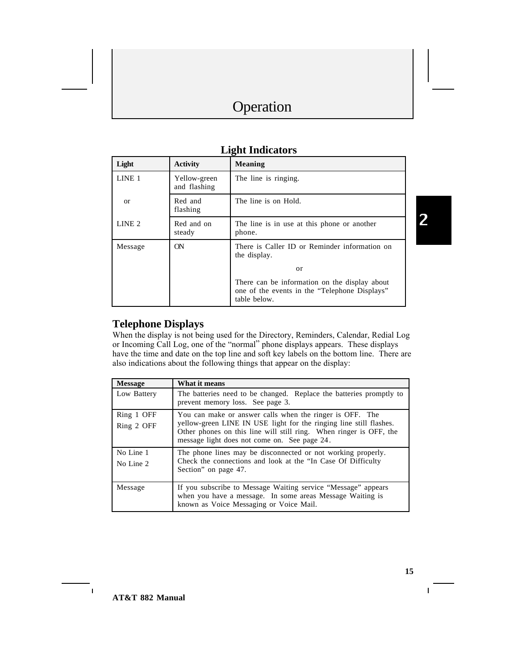| Light             | <b>Activity</b>              | <b>Meaning</b>                                                                                                 |  |
|-------------------|------------------------------|----------------------------------------------------------------------------------------------------------------|--|
| LINE <sub>1</sub> | Yellow-green<br>and flashing | The line is ringing.                                                                                           |  |
| <sub>or</sub>     | Red and<br>flashing          | The line is on Hold.                                                                                           |  |
| LINE <sub>2</sub> | Red and on<br>steady         | The line is in use at this phone or another<br>phone.                                                          |  |
| Message           | <b>ON</b>                    | There is Caller ID or Reminder information on<br>the display.                                                  |  |
|                   |                              | or                                                                                                             |  |
|                   |                              | There can be information on the display about<br>one of the events in the "Telephone Displays"<br>table below. |  |

#### **Light Indicators**

#### **Telephone Displays**

When the display is not being used for the Directory, Reminders, Calendar, Redial Log or Incoming Call Log, one of the "normal" phone displays appears. These displays have the time and date on the top line and soft key labels on the bottom line. There are also indications about the following things that appear on the display:

| <b>Message</b>           | What it means                                                                                                                                                                                                                                        |
|--------------------------|------------------------------------------------------------------------------------------------------------------------------------------------------------------------------------------------------------------------------------------------------|
| Low Battery              | The batteries need to be changed. Replace the batteries promptly to<br>prevent memory loss. See page 3.                                                                                                                                              |
| Ring 1 OFF<br>Ring 2 OFF | You can make or answer calls when the ringer is OFF. The<br>yellow-green LINE IN USE light for the ringing line still flashes.<br>Other phones on this line will still ring. When ringer is OFF, the<br>message light does not come on. See page 24. |
| No Line 1<br>No Line 2   | The phone lines may be disconnected or not working properly.<br>Check the connections and look at the "In Case Of Difficulty"<br>Section" on page 47.                                                                                                |
| Message                  | If you subscribe to Message Waiting service "Message" appears<br>when you have a message. In some areas Message Waiting is<br>known as Voice Messaging or Voice Mail.                                                                                |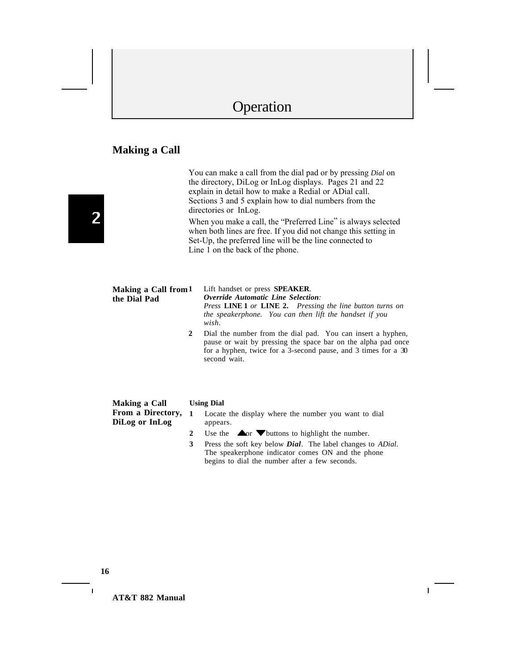#### **Making a Call**

You can make a call from the dial pad or by pressing *Dial* on the directory, DiLog or InLog displays. Pages 21 and 22 explain in detail how to make a Redial or ADial call. Sections 3 and 5 explain how to dial numbers from the directories or InLog. When you make a call, the "Preferred Line" is always selected when both lines are free. If you did not change this setting in Set-Up, the preferred line will be the line connected to Line 1 on the back of the phone. **Making a Call from the Dial Pad 1** Lift handset or press **SPEAKER**. *Override Automatic Line Selection: Press* **LINE 1** *or* **LINE 2.** *Pressing the line button turns on the speakerphone. You can then lift the handset if you wish.* **2** Dial the number from the dial pad. You can insert a hyphen, pause or wait by pressing the space bar on the alpha pad once for a hyphen, twice for a 3-second pause, and 3 times for a 30 second wait.

| Making a Call                       |                | <b>Using Dial</b>                                                |
|-------------------------------------|----------------|------------------------------------------------------------------|
| From a Directory,<br>DiLog or InLog | $\blacksquare$ | Locate the display where the number you want to dial<br>appears. |
|                                     |                | Use the $\triangle$ or $\nabla$ buttons to highlight the number. |

**3** Press the soft key below *Dial*. The label changes to *ADial*. The speakerphone indicator comes ON and the phone begins to dial the number after a few seconds.

**16**

 $\overline{\phantom{a}}$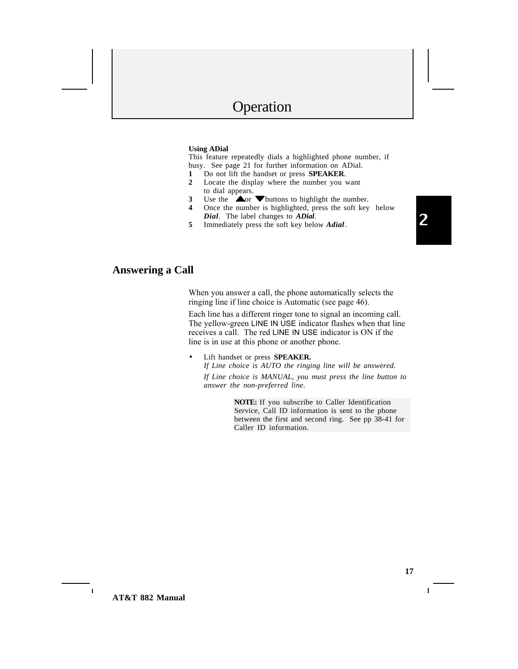#### **Using ADial**

This feature repeatedly dials a highlighted phone number, if busy. See page 21 for further information on ADial.

- **1** Do not lift the handset or press **SPEAKER**.
- **2** Locate the display where the number you want to dial appears.
- **3** Use the  $\Delta$ or  $\blacktriangleright$  buttons to highlight the number.<br>**4** Once the number is highlighted, press the soft key
- **4** Once the number is highlighted, press the soft key below *Dial*. The label changes to *ADial*.
- **5** Immediately press the soft key below *Adial*.

# 2

#### **Answering a Call**

When you answer a call, the phone automatically selects the ringing line if line choice is Automatic (see page 46).

Each line has a different ringer tone to signal an incoming call. The yellow-green LINE IN USE indicator flashes when that line receives a call. The red LINE IN USE indicator is ON if the line is in use at this phone or another phone.

• Lift handset or press **SPEAKER.**

*If Line choice is AUTO the ringing line will be answered. If Line choice is MANUAL, you must press the line button to*

*answer the non-preferred line.*

**NOTE:** If you subscribe to Caller Identification Service, Call ID information is sent to the phone between the first and second ring. See pp 38-41 for Caller ID information.

**AT&T 882 Manual**

h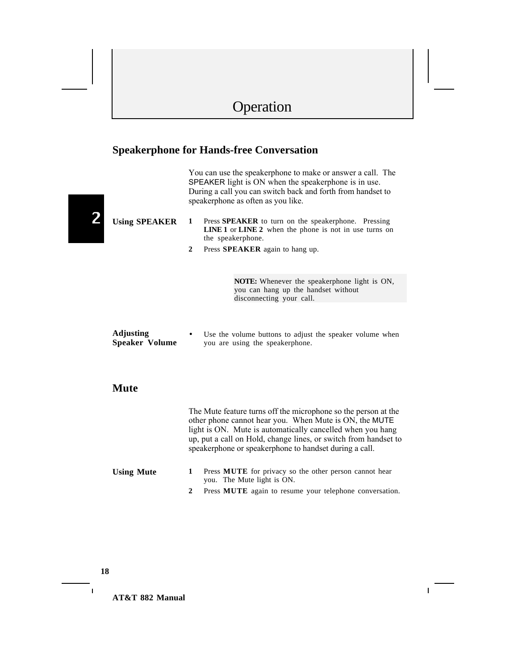#### **Speakerphone for Hands-free Conversation**

You can use the speakerphone to make or answer a call. The SPEAKER light is ON when the speakerphone is in use. During a call you can switch back and forth from handset to speakerphone as often as you like.

- **Using SPEAKER 1** Press **SPEAKER** to turn on the speakerphone. Pressing **LINE 1** or **LINE 2** when the phone is not in use turns on the speakerphone.
	- **2** Press **SPEAKER** again to hang up.

**NOTE:** Whenever the speakerphone light is ON, you can hang up the handset without disconnecting your call.

**Adjusting Speaker Volume** Use the volume buttons to adjust the speaker volume when you are using the speakerphone.

#### **Mute**

2

The Mute feature turns off the microphone so the person at the other phone cannot hear you. When Mute is ON, the MUTE light is ON. Mute is automatically cancelled when you hang up, put a call on Hold, change lines, or switch from handset to speakerphone or speakerphone to handset during a call.

#### **Using Mute 1** Press **MUTE** for privacy so the other person cannot hear you. The Mute light is ON.

**2** Press **MUTE** again to resume your telephone conversation.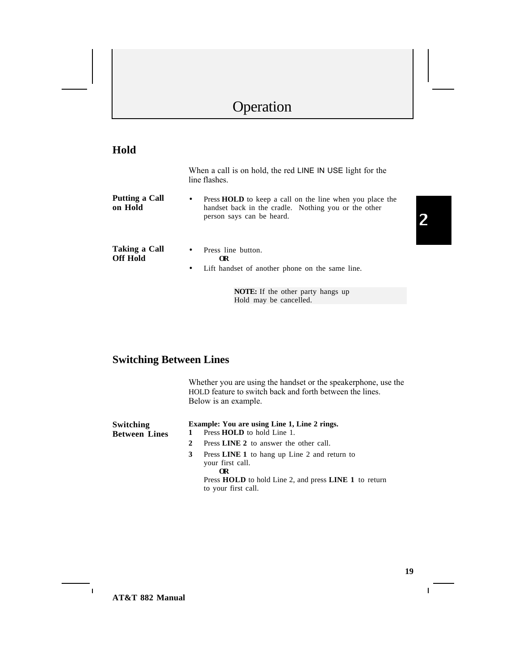#### **Hold**

|                                  | When a call is on hold, the red LINE IN USE light for the<br>line flashes.                                                                                        |  |
|----------------------------------|-------------------------------------------------------------------------------------------------------------------------------------------------------------------|--|
| Putting a Call<br>on Hold        | Press <b>HOLD</b> to keep a call on the line when you place the<br>$\bullet$<br>handset back in the cradle. Nothing you or the other<br>person says can be heard. |  |
| Taking a Call<br><b>Off Hold</b> | Press line button.<br>$\bullet$<br>OR.<br>Lift handset of another phone on the same line.<br>$\bullet$                                                            |  |
|                                  | <b>NOTE:</b> If the other party hangs up                                                                                                                          |  |

Hold may be cancelled.

## **Switching Between Lines**

|                                   |   | Whether you are using the handset or the speakerphone, use the<br>HOLD feature to switch back and forth between the lines.<br>Below is an example.                          |
|-----------------------------------|---|-----------------------------------------------------------------------------------------------------------------------------------------------------------------------------|
| Switching<br><b>Between Lines</b> |   | <b>Example:</b> You are using Line 1, Line 2 rings.<br>Press <b>HOLD</b> to hold Line 1.                                                                                    |
|                                   | 2 | Press LINE 2 to answer the other call.                                                                                                                                      |
|                                   | 3 | Press LINE 1 to hang up Line 2 and return to<br>your first call.<br><b>OR</b><br>Press <b>HOLD</b> to hold Line 2, and press <b>LINE</b> 1 to return<br>to your first call. |

 $\mathbf{I}$ 

 $\vert$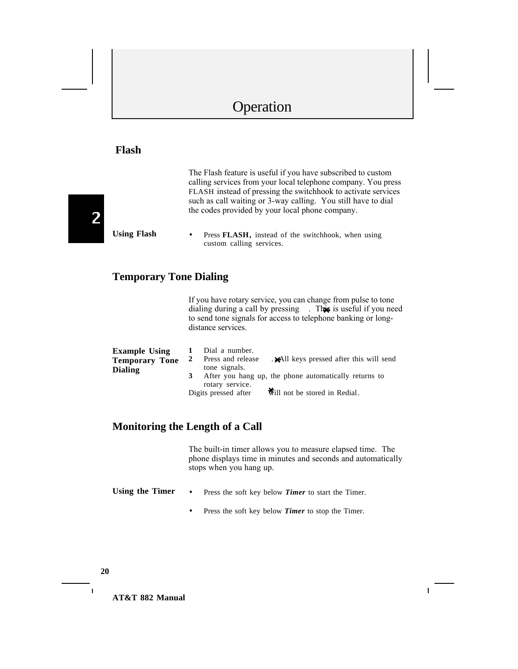#### **Flash**

|                               | The Flash feature is useful if you have subscribed to custom<br>calling services from your local telephone company. You press<br>FLASH instead of pressing the switchhook to activate services<br>such as call waiting or 3-way calling. You still have to dial<br>the codes provided by your local phone company. |
|-------------------------------|--------------------------------------------------------------------------------------------------------------------------------------------------------------------------------------------------------------------------------------------------------------------------------------------------------------------|
| <b>Using Flash</b>            | Press FLASH, instead of the switchhook, when using<br>$\bullet$<br>custom calling services.                                                                                                                                                                                                                        |
| <b>Temporary Tone Dialing</b> |                                                                                                                                                                                                                                                                                                                    |

If you have rotary service, you can change from pulse to tone dialing during a call by pressing . This is useful if you need to send tone signals for access to telephone banking or longdistance services.

| <b>Example Using</b>  |   | Dial a number.                                                     |
|-----------------------|---|--------------------------------------------------------------------|
| <b>Temporary Tone</b> |   | <b>All keys pressed after this will send.</b><br>Press and release |
| <b>Dialing</b>        |   | tone signals.                                                      |
|                       | 3 | After you hang up, the phone automatically returns to              |
|                       |   | rotary service.                                                    |
|                       |   | will not be stored in Redial.<br>Digits pressed after              |

#### **Monitoring the Length of a Call**

The built-in timer allows you to measure elapsed time. The phone displays time in minutes and seconds and automatically stops when you hang up.

- Using the Timer Press the soft key below *Timer* to start the Timer.
	- Press the soft key below *Timer* to stop the Timer.

 $\blacksquare$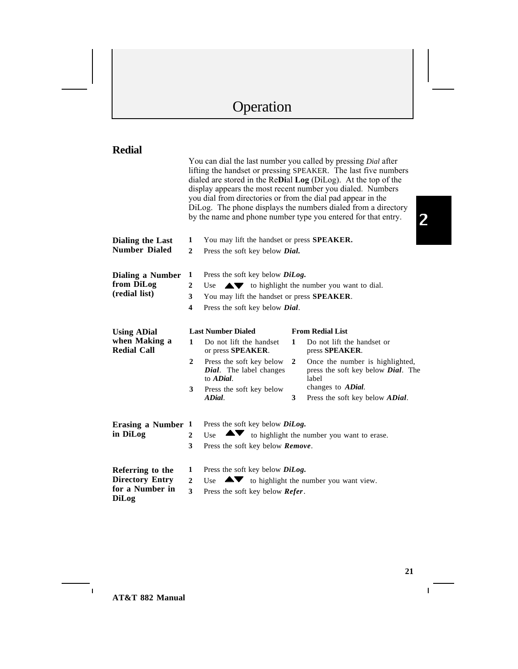## **Redial**

 $\mathbf l$ 

|                                     |                         | you dial from directories or from the dial pad appear in the             |                                        | You can dial the last number you called by pressing Dial after<br>lifting the handset or pressing SPEAKER. The last five numbers<br>dialed are stored in the ReDial Log (DiLog). At the top of the<br>display appears the most recent number you dialed. Numbers<br>DiLog. The phone displays the numbers dialed from a directory<br>by the name and phone number type you entered for that entry.<br>2 |  |  |  |
|-------------------------------------|-------------------------|--------------------------------------------------------------------------|----------------------------------------|---------------------------------------------------------------------------------------------------------------------------------------------------------------------------------------------------------------------------------------------------------------------------------------------------------------------------------------------------------------------------------------------------------|--|--|--|
| <b>Dialing the Last</b>             | 1                       | You may lift the handset or press <b>SPEAKER</b> .                       |                                        |                                                                                                                                                                                                                                                                                                                                                                                                         |  |  |  |
| <b>Number Dialed</b>                | $\overline{2}$          |                                                                          | Press the soft key below <i>Dial</i> . |                                                                                                                                                                                                                                                                                                                                                                                                         |  |  |  |
| <b>Dialing a Number</b>             | 1                       | Press the soft key below <i>DiLog</i> .                                  |                                        |                                                                                                                                                                                                                                                                                                                                                                                                         |  |  |  |
| from DiLog                          | $\overline{2}$          | <b>AV</b> to highlight the number you want to dial.<br>Use               |                                        |                                                                                                                                                                                                                                                                                                                                                                                                         |  |  |  |
| (redial list)                       | 3                       | You may lift the handset or press <b>SPEAKER</b> .                       |                                        |                                                                                                                                                                                                                                                                                                                                                                                                         |  |  |  |
|                                     | $\overline{\mathbf{4}}$ | Press the soft key below <i>Dial</i> .                                   |                                        |                                                                                                                                                                                                                                                                                                                                                                                                         |  |  |  |
| <b>Using ADial</b>                  |                         | <b>Last Number Dialed</b>                                                |                                        | <b>From Redial List</b>                                                                                                                                                                                                                                                                                                                                                                                 |  |  |  |
| when Making a<br><b>Redial Call</b> | 1                       | Do not lift the handset<br>or press SPEAKER.                             | 1                                      | Do not lift the handset or<br>press SPEAKER.                                                                                                                                                                                                                                                                                                                                                            |  |  |  |
|                                     | $\overline{2}$          | Press the soft key below<br>Dial. The label changes<br>to <b>ADial</b> . | $\overline{2}$                         | Once the number is highlighted,<br>press the soft key below <i>Dial</i> . The<br>label                                                                                                                                                                                                                                                                                                                  |  |  |  |
|                                     | 3                       | Press the soft key below                                                 |                                        | changes to <b>ADial</b> .                                                                                                                                                                                                                                                                                                                                                                               |  |  |  |
|                                     |                         | ADial.                                                                   | 3                                      | Press the soft key below <i>ADial</i> .                                                                                                                                                                                                                                                                                                                                                                 |  |  |  |
| Erasing a Number 1                  |                         | Press the soft key below DiLog.                                          |                                        |                                                                                                                                                                                                                                                                                                                                                                                                         |  |  |  |
| in DiLog                            | $\mathbf{2}$            | to highlight the number you want to erase.<br>Use                        |                                        |                                                                                                                                                                                                                                                                                                                                                                                                         |  |  |  |
|                                     | 3                       | Press the soft key below Remove.                                         |                                        |                                                                                                                                                                                                                                                                                                                                                                                                         |  |  |  |
| Referring to the                    | 1                       | Press the soft key below <i>DiLog</i> .                                  |                                        |                                                                                                                                                                                                                                                                                                                                                                                                         |  |  |  |
| <b>Directory Entry</b>              | $\overline{2}$          | Use                                                                      |                                        | $\blacktriangleright$ to highlight the number you want view.                                                                                                                                                                                                                                                                                                                                            |  |  |  |
| for a Number in<br><b>DiLog</b>     | 3                       | Press the soft key below <i>Refer</i> .                                  |                                        |                                                                                                                                                                                                                                                                                                                                                                                                         |  |  |  |

 $\mathbf{I}$ 

 $\mathbf I$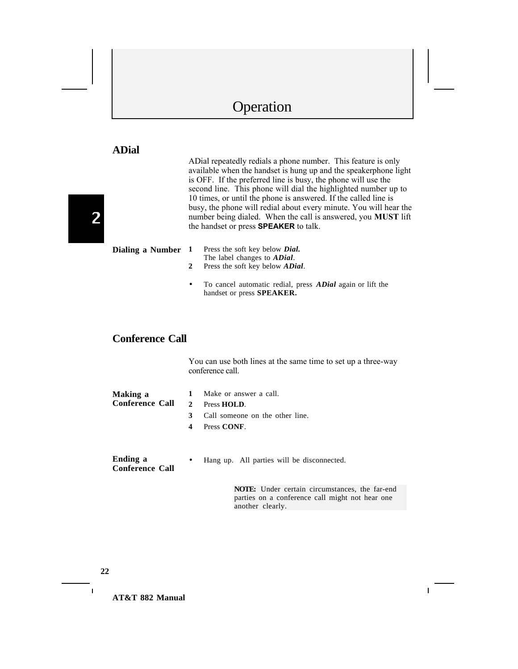#### **ADial**

ADial repeatedly redials a phone number. This feature is only available when the handset is hung up and the speakerphone light is OFF. If the preferred line is busy, the phone will use the second line. This phone will dial the highlighted number up to 10 times, or until the phone is answered. If the called line is busy, the phone will redial about every minute. You will hear the number being dialed. When the call is answered, you **MUST** lift the handset or press **SPEAKER** to talk.

|  |  | Dialing a Number |  |  |  |  |  |
|--|--|------------------|--|--|--|--|--|
|--|--|------------------|--|--|--|--|--|

**1** Press the soft key below *Dial.* The label changes to *ADial*.

**2** Press the soft key below *ADial*.

• To cancel automatic redial, press *ADial* again or lift the handset or press **SPEAKER.**

#### **Conference Call**

You can use both lines at the same time to set up a three-way conference call.

| Making a                           | 1         | Make or answer a call.                     |
|------------------------------------|-----------|--------------------------------------------|
| <b>Conference Call</b>             |           | 2 Press HOLD.                              |
|                                    | 3         | Call someone on the other line.            |
|                                    | 4         | Press CONF.                                |
|                                    |           |                                            |
|                                    |           |                                            |
| Ending a<br><b>Conference Call</b> | $\bullet$ | Hang up. All parties will be disconnected. |
|                                    |           |                                            |

**NOTE:** Under certain circumstances, the far-end parties on a conference call might not hear one another clearly.

**22**

 $\overline{\phantom{a}}$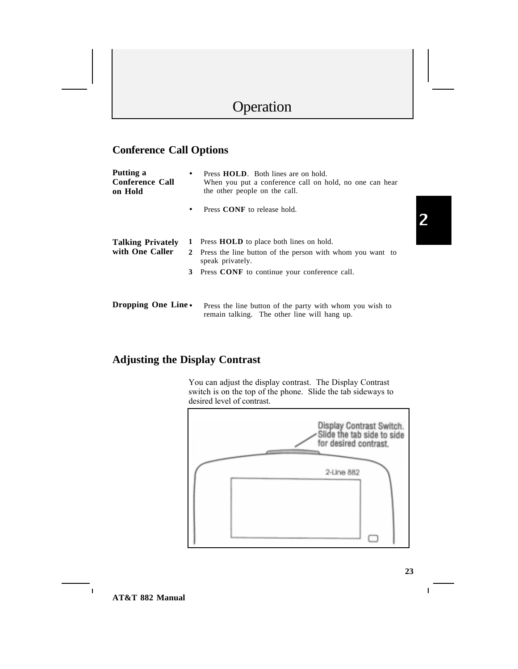#### **Conference Call Options**

| Putting a<br><b>Conference Call</b><br>on Hold | $\bullet$ | Press <b>HOLD</b> . Both lines are on hold.<br>When you put a conference call on hold, no one can hear<br>the other people on the call.                                                      |
|------------------------------------------------|-----------|----------------------------------------------------------------------------------------------------------------------------------------------------------------------------------------------|
|                                                | ٠         | Press CONF to release hold.                                                                                                                                                                  |
| <b>Talking Privately</b><br>with One Caller    |           | <b>1</b> Press <b>HOLD</b> to place both lines on hold.<br>2 Press the line button of the person with whom you want to<br>speak privately.<br>3 Press CONF to continue your conference call. |
| Dropping One Line.                             |           | Press the line button of the party with whom you wish to<br>remain talking. The other line will hang up.                                                                                     |

## **Adjusting the Display Contrast**

You can adjust the display contrast. The Display Contrast switch is on the top of the phone. Slide the tab sideways to desired level of contrast.



 $\mathbf{I}$ 

**AT&T 882 Manual**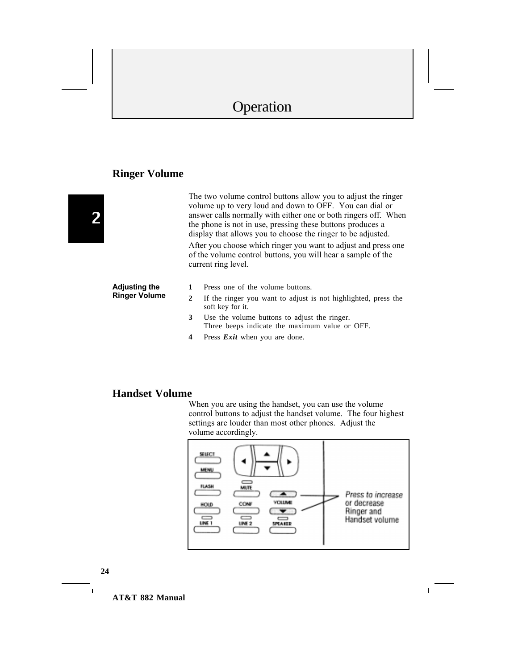#### **Ringer Volume**

|                      |   | The two volume control buttons allow you to adjust the ringer<br>volume up to very loud and down to OFF. You can dial or<br>answer calls normally with either one or both ringers off. When<br>the phone is not in use, pressing these buttons produces a<br>display that allows you to choose the ringer to be adjusted. |
|----------------------|---|---------------------------------------------------------------------------------------------------------------------------------------------------------------------------------------------------------------------------------------------------------------------------------------------------------------------------|
|                      |   | After you choose which ringer you want to adjust and press one<br>of the volume control buttons, you will hear a sample of the<br>current ring level.                                                                                                                                                                     |
| <b>Adjusting the</b> |   | Press one of the volume buttons.                                                                                                                                                                                                                                                                                          |
| <b>Ringer Volume</b> | 2 | If the ringer you want to adjust is not highlighted, press the<br>soft key for it.                                                                                                                                                                                                                                        |
|                      | 3 | Use the volume buttons to adjust the ringer.<br>Three beeps indicate the maximum value or OFF.                                                                                                                                                                                                                            |

**4** Press *Exit* when you are done.

#### **Handset Volume**

When you are using the handset, you can use the volume control buttons to adjust the handset volume. The four highest settings are louder than most other phones. Adjust the volume accordingly.



**24**

 $\blacksquare$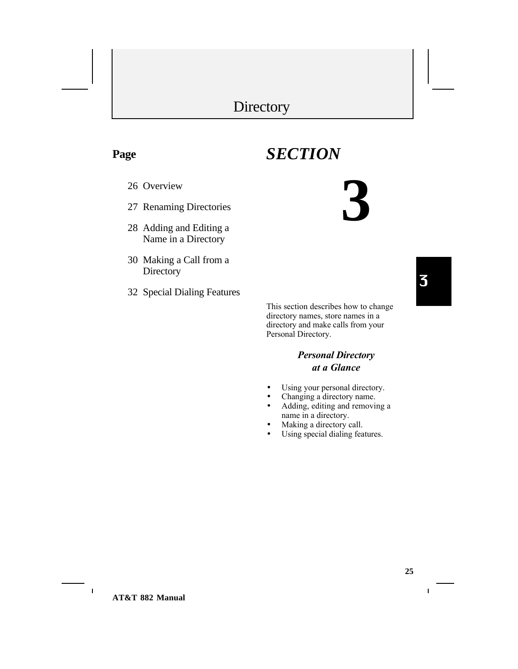#### **Page**

- 26 Overview
- 27 Renaming Directories
- 28 Adding and Editing a Name in a Directory
- 30 Making a Call from a **Directory**
- 32 Special Dialing Features

*SECTION*



# 3

This section describes how to change directory names, store names in a directory and make calls from your Personal Directory.

#### *Personal Directory at a Glance*

- Using your personal directory.
- Changing a directory name.
- Adding, editing and removing a name in a directory.
- Making a directory call.
- Using special dialing features.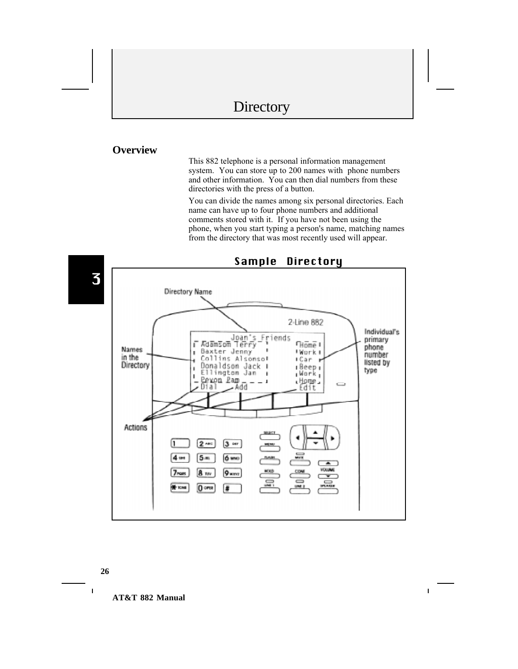#### **Overview**

This 882 telephone is a personal information management system. You can store up to 200 names with phone numbers and other information. You can then dial numbers from these directories with the press of a button.

You can divide the names among six personal directories. Each name can have up to four phone numbers and additional comments stored with it. If you have not been using the phone, when you start typing a person's name, matching names from the directory that was most recently used will appear.

 $\mathbf{I}$ 



Sample Directory

**26**

 $\overline{\mathbf{I}}$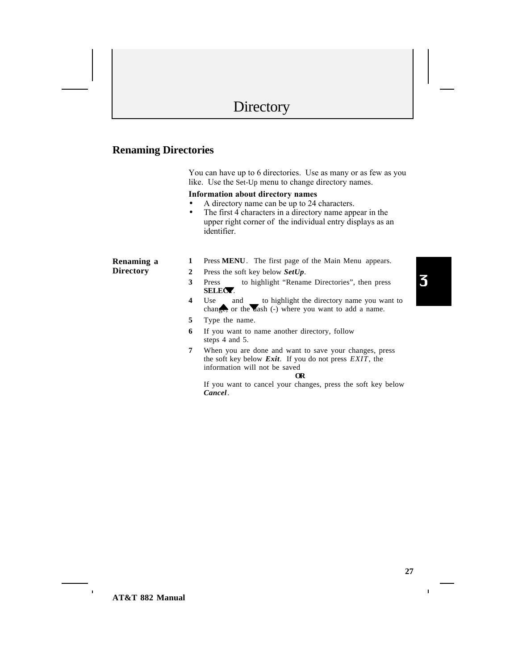#### **Renaming Directories**

You can have up to 6 directories. Use as many or as few as you like. Use the Set-Up menu to change directory names.

#### **Information about directory names**

- A directory name can be up to 24 characters.
- The first 4 characters in a directory name appear in the upper right corner of the individual entry displays as an identifier.

| Renaming a       | 1 | Press MENU. The first page of the Main Menu appears.                                                                                                                           |
|------------------|---|--------------------------------------------------------------------------------------------------------------------------------------------------------------------------------|
| <b>Directory</b> | 2 | Press the soft key below SetUp.                                                                                                                                                |
|                  | 3 | to highlight "Rename Directories", then press<br>Press<br><b>SELECT.</b>                                                                                                       |
|                  | 4 | and to highlight the directory name you want to<br>Use<br>change, or the dash (-) where you want to add a name.                                                                |
|                  | 5 | Type the name.                                                                                                                                                                 |
|                  | 6 | If you want to name another directory, follow<br>steps 4 and 5.                                                                                                                |
|                  | 7 | When you are done and want to save your changes, press<br>the soft key below <i>Exit</i> . If you do not press <i>EXIT</i> , the<br>information will not be saved<br><b>OR</b> |
|                  |   | If you want to cancel your changes, press the soft key below<br>Cancel.                                                                                                        |

 $\mathbf{I}$ 

3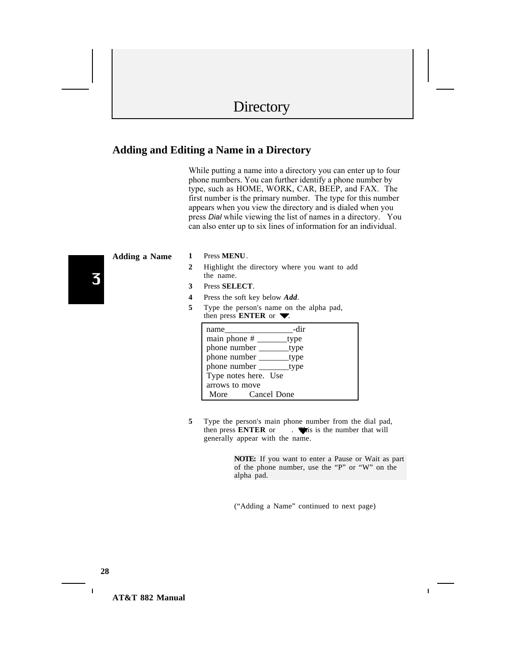#### **Adding and Editing a Name in a Directory**

While putting a name into a directory you can enter up to four phone numbers. You can further identify a phone number by type, such as HOME, WORK, CAR, BEEP, and FAX. The first number is the primary number. The type for this number appears when you view the directory and is dialed when you press *Dial* while viewing the list of names in a directory. You can also enter up to six lines of information for an individual.

#### **Adding a Name 1** Press **MENU**.

- **2** Highlight the directory where you want to add the name.
- **3** Press **SELECT**.
- **4** Press the soft key below *Add*.
- **5** Type the person's name on the alpha pad, then press **ENTER** or  $\blacktriangledown$ .



**5** Type the person's main phone number from the dial pad, then press **ENTER** or . **This** is the number that will generally appear with the name.

> **NOTE:** If you want to enter a Pause or Wait as part of the phone number, use the "P" or "W" on the alpha pad.

("Adding a Name" continued to next page)

3

**28**

 $\blacksquare$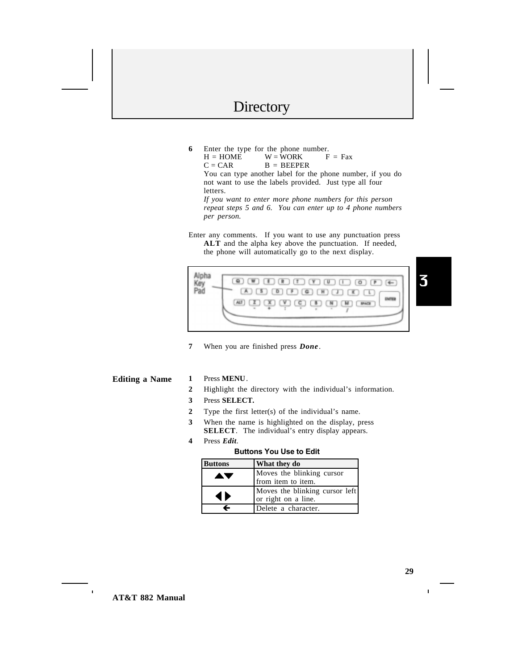6 Enter the type for the phone number.<br> $H = HOME$   $W = WORK$   $F = Fax$  $H = HOME$   $W = WORK$ <br>  $C = CAR$   $B = BEPPE$  $B = BEEPER$ You can type another label for the phone number, if you do not want to use the labels provided. Just type all four letters. *If you want to enter more phone numbers for this person*

*repeat steps 5 and 6. You can enter up to 4 phone numbers per person.*

Enter any comments. If you want to use any punctuation press **ALT** and the alpha key above the punctuation. If needed, the phone will automatically go to the next display.



**7** When you are finished press *Done*.

#### **Editing a Name 1** Press **MENU**.

- **2** Highlight the directory with the individual's information.
- **3** Press **SELECT***.*
- **2** Type the first letter(s) of the individual's name.
- **3** When the name is highlighted on the display, press **SELECT**. The individual's entry display appears.
- **4** Press *Edit*.

#### **Buttons You Use to Edit**

| <b>Buttons</b>  | What they do                                          |
|-----------------|-------------------------------------------------------|
| <b>AV</b>       | Moves the blinking cursor<br>from item to item.       |
| $\blacklozenge$ | Moves the blinking cursor left<br>or right on a line. |
|                 | Delete a character.                                   |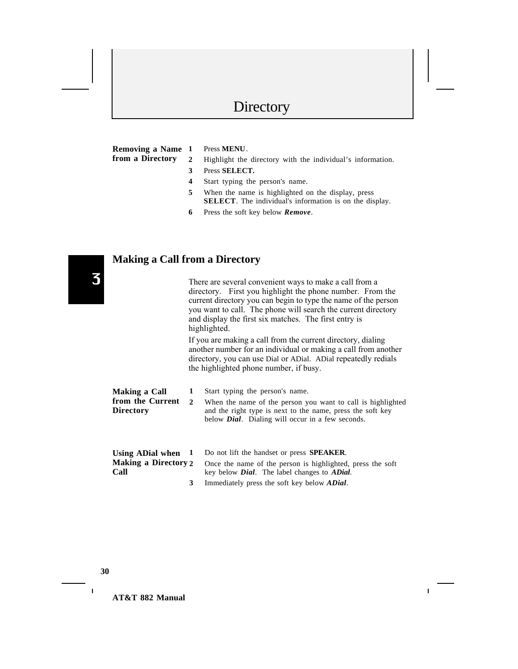#### **Removing a Name from a Directory**

**1** Press **MENU**.

- **2** Highlight the directory with the individual's information.
- **3** Press **SELECT.**
- **4** Start typing the person's name.
- **5** When the name is highlighted on the display, press **SELECT**. The individual's information is on the display.
- **6** Press the soft key below *Remove*.

## **Making a Call from a Directory**

|                                                       |                   | There are several convenient ways to make a call from a<br>directory. First you highlight the phone number. From the<br>current directory you can begin to type the name of the person<br>you want to call. The phone will search the current directory<br>and display the first six matches. The first entry is<br>highlighted.<br>If you are making a call from the current directory, dialing<br>another number for an individual or making a call from another<br>directory, you can use Dial or ADial. ADial repeatedly redials<br>the highlighted phone number, if busy. |
|-------------------------------------------------------|-------------------|--------------------------------------------------------------------------------------------------------------------------------------------------------------------------------------------------------------------------------------------------------------------------------------------------------------------------------------------------------------------------------------------------------------------------------------------------------------------------------------------------------------------------------------------------------------------------------|
| Making a Call<br>from the Current<br><b>Directory</b> | 1<br>$\mathbf{2}$ | Start typing the person's name.<br>When the name of the person you want to call is highlighted<br>and the right type is next to the name, press the soft key<br>below <i>Dial</i> . Dialing will occur in a few seconds.                                                                                                                                                                                                                                                                                                                                                       |
| Using ADial when<br>Making a Directory 2<br>Call      | 1<br>3            | Do not lift the handset or press <b>SPEAKER</b> .<br>Once the name of the person is highlighted, press the soft<br>key below <i>Dial</i> . The label changes to <i>ADial</i> .<br>Immediately press the soft key below <b>ADial</b> .                                                                                                                                                                                                                                                                                                                                          |

 $\mathbf{I}$ 

3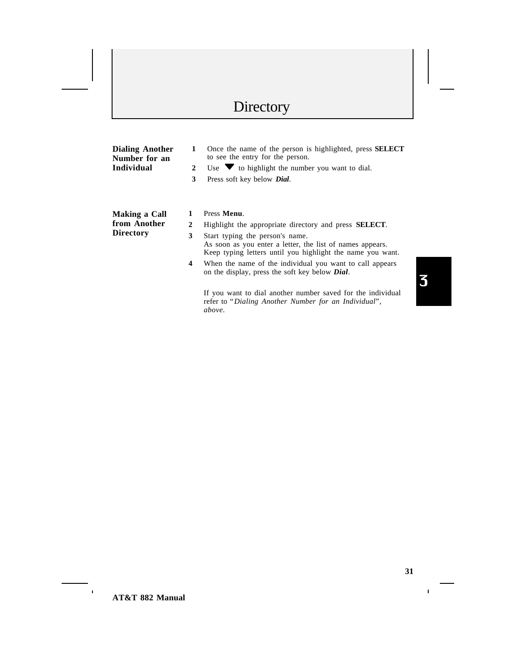| <b>Dialing Another</b><br>Number for an<br>Individual | 1<br>$\mathbf{2}$<br>3 | Once the name of the person is highlighted, press <b>SELECT</b><br>to see the entry for the person.<br>Use $\blacktriangledown$ to highlight the number you want to dial.<br>Press soft key below <i>Dial</i> . |
|-------------------------------------------------------|------------------------|-----------------------------------------------------------------------------------------------------------------------------------------------------------------------------------------------------------------|
| Making a Call<br>from Another<br><b>Directory</b>     | 2<br>3                 | Press Menu.<br>Highlight the appropriate directory and press <b>SELECT</b> .                                                                                                                                    |
|                                                       |                        | Start typing the person's name.<br>As soon as you enter a letter, the list of names appears.<br>Keep typing letters until you highlight the name you want.                                                      |
|                                                       | 4                      | When the name of the individual you want to call appears<br>on the display, press the soft key below <b>Dial</b> .                                                                                              |
|                                                       |                        | If you want to dial another number saved for the individual<br>refer to "Dialing Another Number for an Individual",<br>above.                                                                                   |

3

 $\|\cdot\|$ 

 $\sim 10$ 

 $\equiv$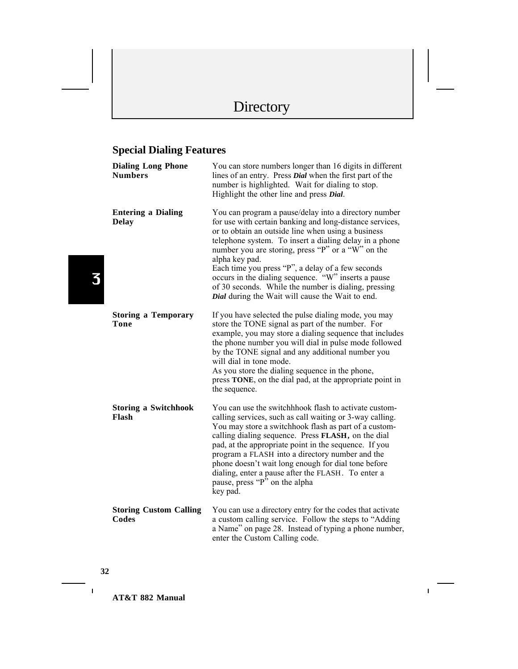## **Special Dialing Features**

| <b>Dialing Long Phone</b><br><b>Numbers</b> | You can store numbers longer than 16 digits in different<br>lines of an entry. Press <b>Dial</b> when the first part of the<br>number is highlighted. Wait for dialing to stop.<br>Highlight the other line and press Dial.                                                                                                                                                                                                                                                                                                      |
|---------------------------------------------|----------------------------------------------------------------------------------------------------------------------------------------------------------------------------------------------------------------------------------------------------------------------------------------------------------------------------------------------------------------------------------------------------------------------------------------------------------------------------------------------------------------------------------|
| <b>Entering a Dialing</b><br><b>Delay</b>   | You can program a pause/delay into a directory number<br>for use with certain banking and long-distance services,<br>or to obtain an outside line when using a business<br>telephone system. To insert a dialing delay in a phone<br>number you are storing, press "P" or a "W" on the<br>alpha key pad.<br>Each time you press "P", a delay of a few seconds<br>occurs in the dialing sequence. "W" inserts a pause<br>of 30 seconds. While the number is dialing, pressing<br>Dial during the Wait will cause the Wait to end. |
| <b>Storing a Temporary</b><br>Tone          | If you have selected the pulse dialing mode, you may<br>store the TONE signal as part of the number. For<br>example, you may store a dialing sequence that includes<br>the phone number you will dial in pulse mode followed<br>by the TONE signal and any additional number you<br>will dial in tone mode.<br>As you store the dialing sequence in the phone,<br>press TONE, on the dial pad, at the appropriate point in<br>the sequence.                                                                                      |
| <b>Storing a Switchhook</b><br>Flash        | You can use the switch hhook flash to activate custom-<br>calling services, such as call waiting or 3-way calling.<br>You may store a switchhook flash as part of a custom-<br>calling dialing sequence. Press FLASH, on the dial<br>pad, at the appropriate point in the sequence. If you<br>program a FLASH into a directory number and the<br>phone doesn't wait long enough for dial tone before<br>dialing, enter a pause after the FLASH. To enter a<br>pause, press "P" on the alpha<br>key pad.                          |
| <b>Storing Custom Calling</b><br>Codes      | You can use a directory entry for the codes that activate<br>a custom calling service. Follow the steps to "Adding<br>a Name" on page 28. Instead of typing a phone number,<br>enter the Custom Calling code.                                                                                                                                                                                                                                                                                                                    |

3

**32**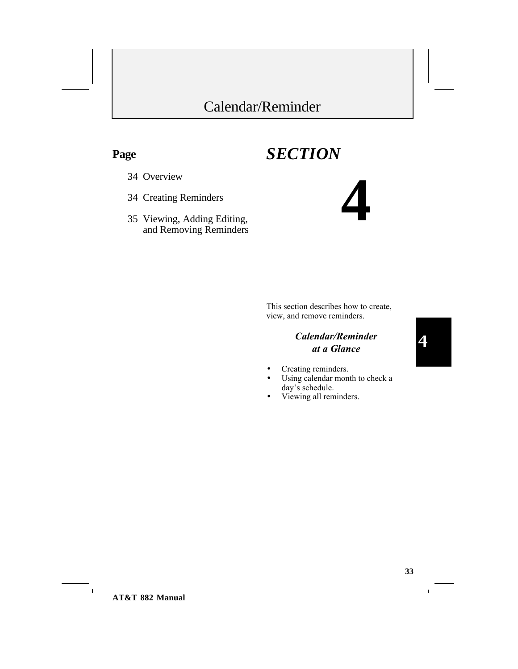## Calendar/Reminder

### **Page**

- 34 Overview
- 34 Creating Reminders
- 35 Viewing, Adding Editing, and Removing Reminders

This section describes how to create, view, and remove reminders.

#### *Calendar/Reminder at a Glance*

**4**

• Creating reminders.

*SECTION*

- Using calendar month to check a day's schedule.
- Viewing all reminders.
- 4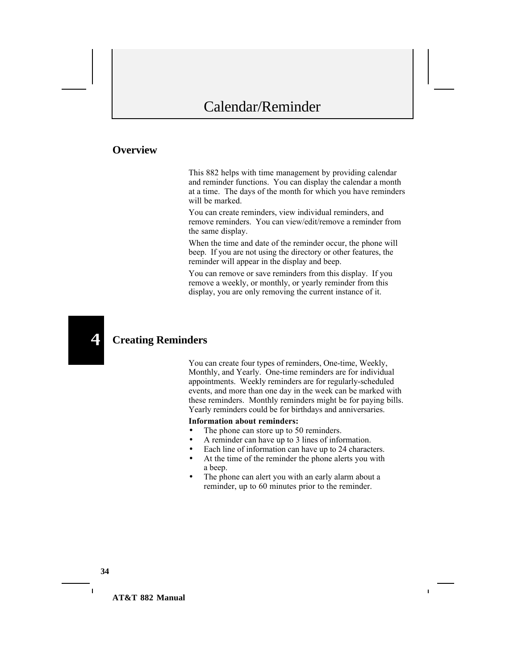#### **Overview**

This 882 helps with time management by providing calendar and reminder functions. You can display the calendar a month at a time. The days of the month for which you have reminders will be marked.

You can create reminders, view individual reminders, and remove reminders. You can view/edit/remove a reminder from the same display.

When the time and date of the reminder occur, the phone will beep. If you are not using the directory or other features, the reminder will appear in the display and beep.

You can remove or save reminders from this display. If you remove a weekly, or monthly, or yearly reminder from this display, you are only removing the current instance of it.

#### **Creating Reminders**

You can create four types of reminders, One-time, Weekly, Monthly, and Yearly. One-time reminders are for individual appointments. Weekly reminders are for regularly-scheduled events, and more than one day in the week can be marked with these reminders. Monthly reminders might be for paying bills. Yearly reminders could be for birthdays and anniversaries.

#### **Information about reminders:**

- The phone can store up to 50 reminders.
- A reminder can have up to 3 lines of information.
- Each line of information can have up to 24 characters.
- At the time of the reminder the phone alerts you with a beep.
- The phone can alert you with an early alarm about a reminder, up to 60 minutes prior to the reminder.

**34**

4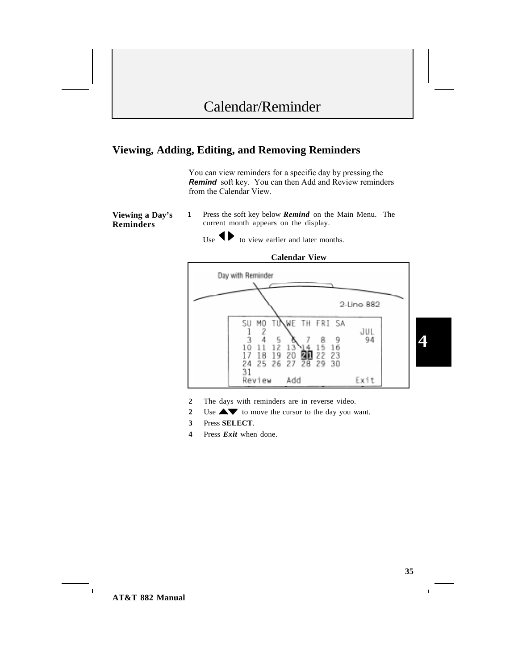#### **Viewing, Adding, Editing, and Removing Reminders**

You can view reminders for a specific day by pressing the *Remind* soft key. You can then Add and Review reminders from the Calendar View.

**Viewing a Day's Reminders**

- **1** Press the soft key below *Remind* on the Main Menu. The current month appears on the display.
	- Use  $\blacklozenge$  to view earlier and later months.





- **2** The days with reminders are in reverse video.
- 2 Use  $\triangle \blacktriangledown$  to move the cursor to the day you want.
- **3** Press **SELECT***.*
- **4** Press *Exit* when done.

 $\blacksquare$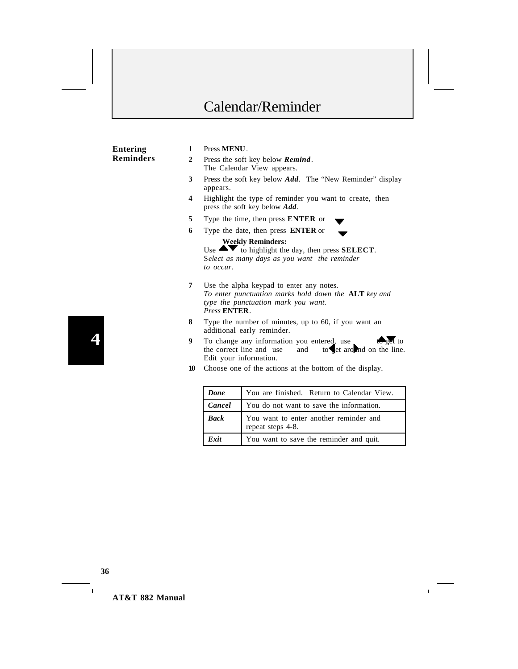## Calendar/Reminder

#### **Entering Reminders**

**1** Press **MENU**.

- **2** Press the soft key below *Remind*. The Calendar View appears.
- **3** Press the soft key below *Add*. The "New Reminder" display appears.
- **4** Highlight the type of reminder you want to create, then press the soft key below *Add*.
- **5** Type the time, then press **ENTER** or .
- **6** Type the date, then press **ENTER** or . **Weekly Reminders:**

Use  $\blacktriangle\blacktriangledown$  to highlight the day, then press **SELECT**. S*elect as many days as you want the reminder to occur.*

- **7** Use the alpha keypad to enter any notes. *To enter punctuation marks hold down the* **ALT** *key and type the punctuation mark you want. Press* **ENTER***.*
- **8** Type the number of minutes, up to 60, if you want an additional early reminder.
- **9** To change any information you entered, use to get to the correct line and use and to let around on the line. and  $\qquad$  to get around on the line. Edit your information.
- **10** Choose one of the actions at the bottom of the display.

| Done        | You are finished. Return to Calendar View.                  |
|-------------|-------------------------------------------------------------|
| Cancel      | You do not want to save the information.                    |
| <b>Back</b> | You want to enter another reminder and<br>repeat steps 4-8. |
| Exit        | You want to save the reminder and quit.                     |

**36**

Ì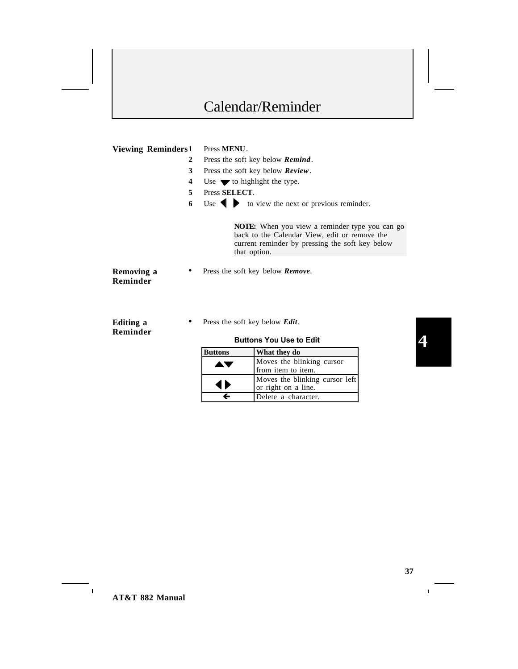## Calendar/Reminder

#### **Viewing Reminders1** Press **MENU**.

| $\overline{L}$ |  |  | Press the soft key below <b>Remind</b> . |
|----------------|--|--|------------------------------------------|
|                |  |  |                                          |

- **3** Press the soft key below *Review*.
- **4** Use  $\blacktriangledown$  to highlight the type.
- **5** Press **SELECT**.
- **6** Use  $\bullet$  to view the next or previous reminder.

**NOTE:** When you view a reminder type you can go back to the Calendar View, edit or remove the current reminder by pressing the soft key below that option.

#### **Removing a Reminder**

**Editing a**

#### **Reminder**

• Press the soft key below *Edit*.

• Press the soft key below *Remove*.

#### **Buttons You Use to Edit**

| <b>Buttons</b> | What they do                                          |
|----------------|-------------------------------------------------------|
| <b>AV</b>      | Moves the blinking cursor<br>from item to item.       |
| ◀▶             | Moves the blinking cursor left<br>or right on a line. |
|                | Delete a character.                                   |

4

 $\overline{1}$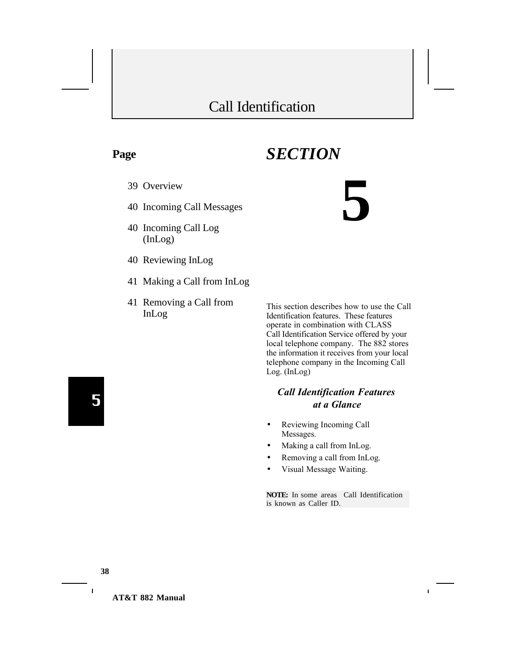## Call Identification

#### **Page**

# *SECTION*

- 39 Overview
- 40 Incoming Call Messages
- 40 Incoming Call Log (InLog)
- 40 Reviewing InLog
- 41 Making a Call from InLog
- 41 Removing a Call from InLog

This section describes how to use the Call Identification features. These features operate in combination with CLASS Call Identification Service offered by your local telephone company. The 882 stores the information it receives from your local telephone company in the Incoming Call Log. (InLog)

**5**

#### *Call Identification Features at a Glance*

- Reviewing Incoming Call Messages.
- Making a call from InLog.
- Removing a call from InLog.
- Visual Message Waiting.

**NOTE:** In some areas Call Identification is known as Caller ID.

5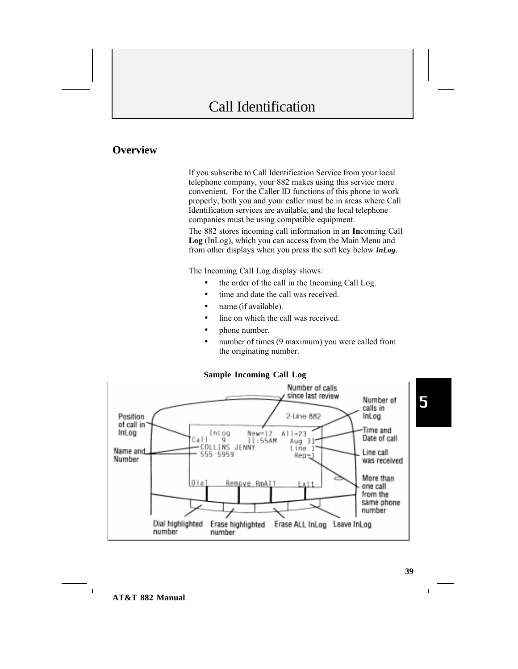#### **Overview**

If you subscribe to Call Identification Service from your local telephone company, your 882 makes using this service more convenient. For the Caller ID functions of this phone to work properly, both you and your caller must be in areas where Call Identification services are available, and the local telephone companies must be using compatible equipment.

The 882 stores incoming call information in an **In**coming Call **Log** (InLog), which you can access from the Main Menu and from other displays when you press the soft key below *InLog*.

The Incoming Call Log display shows:

- the order of the call in the Incoming Call Log.
- time and date the call was received.
- name (if available).
- line on which the call was received.
- phone number.
- number of times (9 maximum) you were called from the originating number.



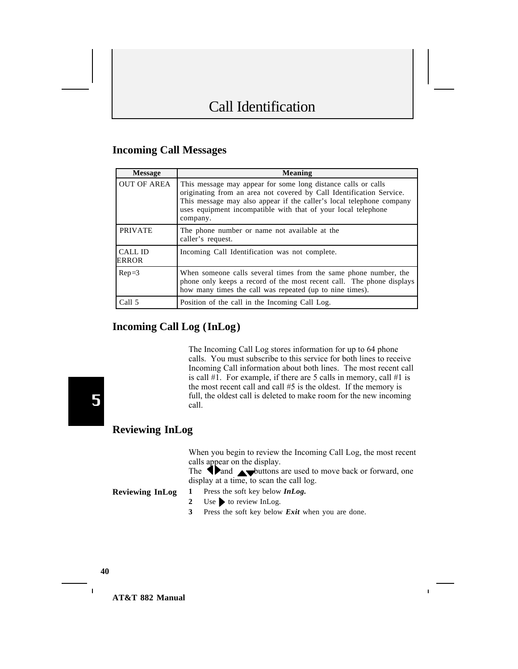#### **Incoming Call Messages**

| <b>Message</b>          | Meaning                                                                                                                                                                                                                                                                                    |
|-------------------------|--------------------------------------------------------------------------------------------------------------------------------------------------------------------------------------------------------------------------------------------------------------------------------------------|
| <b>OUT OF AREA</b>      | This message may appear for some long distance calls or calls<br>originating from an area not covered by Call Identification Service.<br>This message may also appear if the caller's local telephone company<br>uses equipment incompatible with that of your local telephone<br>company. |
| <b>PRIVATE</b>          | The phone number or name not available at the<br>caller's request.                                                                                                                                                                                                                         |
| CALL ID<br><b>ERROR</b> | Incoming Call Identification was not complete.                                                                                                                                                                                                                                             |
| $Rep=3$                 | When someone calls several times from the same phone number, the<br>phone only keeps a record of the most recent call. The phone displays<br>how many times the call was repeated (up to nine times).                                                                                      |
| Call 5                  | Position of the call in the Incoming Call Log.                                                                                                                                                                                                                                             |

#### **Incoming Call Log (InLog)**

The Incoming Call Log stores information for up to 64 phone calls. You must subscribe to this service for both lines to receive Incoming Call information about both lines. The most recent call is call #1. For example, if there are 5 calls in memory, call #1 is the most recent call and call #5 is the oldest. If the memory is full, the oldest call is deleted to make room for the new incoming call.

5

#### **Reviewing InLog**

When you begin to review the Incoming Call Log, the most recent calls appear on the display.

The  $\bigtriangledown$  and  $\bigtriangleup$  buttons are used to move back or forward, one display at a time, to scan the call log.

**Reviewing InLog 1** Press the soft key below *InLog.*

- **2** Use to review InLog.
- **3** Press the soft key below *Exit* when you are done.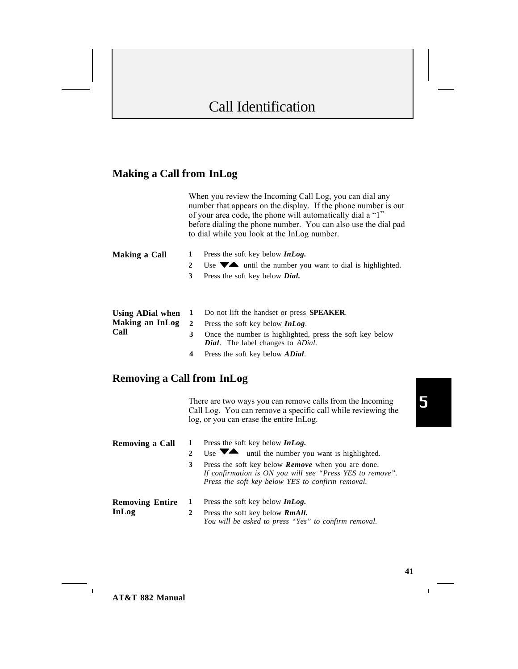## Call Identification

#### **Making a Call from InLog**

When you review the Incoming Call Log, you can dial any number that appears on the display. If the phone number is out of your area code, the phone will automatically dial a "1" before dialing the phone number. You can also use the dial pad to dial while you look at the InLog number.

| Making a Call |   | Press the soft key below <i>InLog</i> .                        |  |  |
|---------------|---|----------------------------------------------------------------|--|--|
|               |   | Use $\nabla$ until the number you want to dial is highlighted. |  |  |
|               | 3 | Press the soft key below <i>Dial</i> .                         |  |  |
|               |   |                                                                |  |  |

|      |   | Using ADial when 1 Do not lift the handset or press SPEAKER.                                                 |
|------|---|--------------------------------------------------------------------------------------------------------------|
|      |   | <b>Making an InLog</b> 2 Press the soft key below <i>InLog</i> .                                             |
| Call | 3 | Once the number is highlighted, press the soft key below<br><b>Dial.</b> The label changes to <i>ADial</i> . |
|      | 4 | Press the soft key below <i>ADial</i> .                                                                      |

#### **Removing a Call from InLog**

There are two ways you can remove calls from the Incoming Call Log. You can remove a specific call while reviewing the log, or you can erase the entire InLog.

| Removing a Call        |   | Press the soft key below <i>InLog</i> .                                                                                                                                    |
|------------------------|---|----------------------------------------------------------------------------------------------------------------------------------------------------------------------------|
|                        |   | $_{Use}$ $\blacktriangledown$<br>until the number you want is highlighted.                                                                                                 |
|                        | 3 | Press the soft key below <b>Remove</b> when you are done.<br>If confirmation is ON you will see "Press YES to remove".<br>Press the soft key below YES to confirm removal. |
| <b>Removing Entire</b> |   | Press the soft key below <i>InLog</i> .                                                                                                                                    |
| InLog                  |   | Press the soft key below <b>RmAll.</b><br>You will be asked to press "Yes" to confirm removal.                                                                             |

 $\mathbf{I}$ 

 $\mathbf{I}$ 

5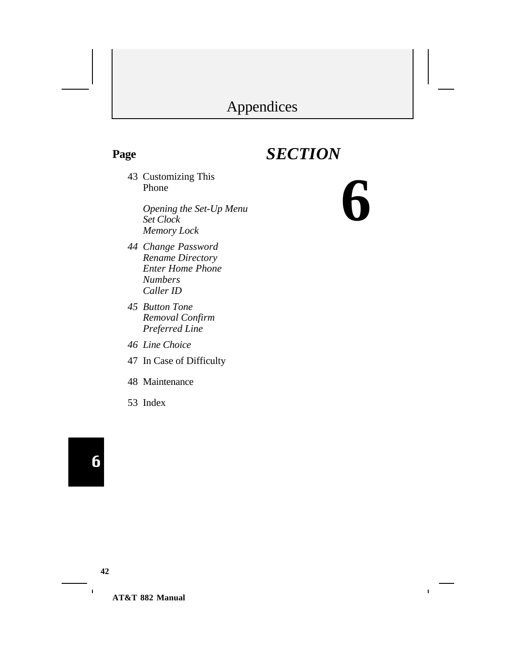*SECTION*

## **Page**

43 Customizing This Phone

> *Opening the Set-Up Menu Set Clock Memory Lock*

- *44 Change Password Rename Directory Enter Home Phone Numbers Caller ID*
- *45 Button Tone Removal Confirm Preferred Line*
- *46 Line Choice*
- 47 In Case of Difficulty
- 48 Maintenance
- 53 Index

6

**42**

 $\mathbf{I}$ 

**AT&T 882 Manual**

# **6**

 $\mathbf{r}$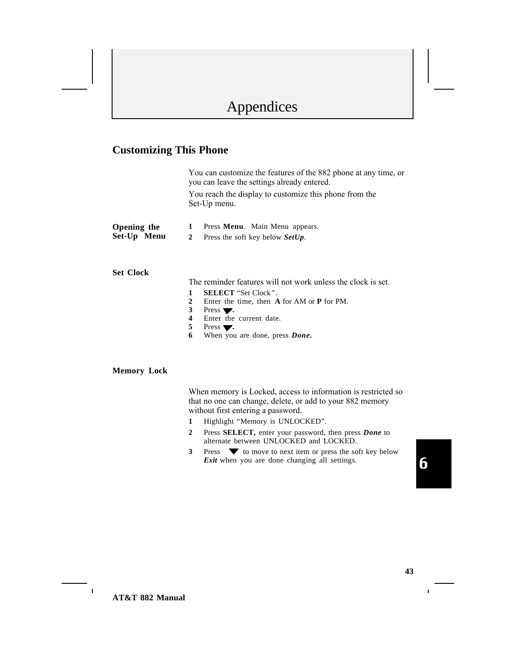#### **Customizing This Phone**

|                  | You can customize the features of the 882 phone at any time, or<br>you can leave the settings already entered. |  |  |  |
|------------------|----------------------------------------------------------------------------------------------------------------|--|--|--|
|                  | You reach the display to customize this phone from the<br>Set-Up menu.                                         |  |  |  |
| Opening the      | 1<br>Press Menu. Main Menu appears.                                                                            |  |  |  |
| Set-Up Menu      | Press the soft key below $SetUp$ .<br>2                                                                        |  |  |  |
| <b>Set Clock</b> |                                                                                                                |  |  |  |
|                  | The reminder features will not work unless the clock is set.                                                   |  |  |  |
|                  | <b>SELECT</b> "Set Clock".<br>1                                                                                |  |  |  |
|                  | Enter the time then $\Lambda$ for $\Lambda M$ or $P$ for PM                                                    |  |  |  |

**2** Enter the time, then **A** for AM or **P** for PM.

- **3** Press **.**
- **4** Enter the current date.
- **5** Press **.**
- **6** When you are done, press *Done.*

#### **Memory Lock**

When memory is Locked, access to information is restricted so that no one can change, delete, or add to your 882 memory without first entering a password.

- **1** Highlight "Memory is UNLOCKED".
- **2** Press **SELECT,** enter your password, then press *Done* to alternate between UNLOCKED and LOCKED.
- **3** Press  $\blacktriangledown$  to move to next item or press the soft key below **Exit** when you are done changing all settings.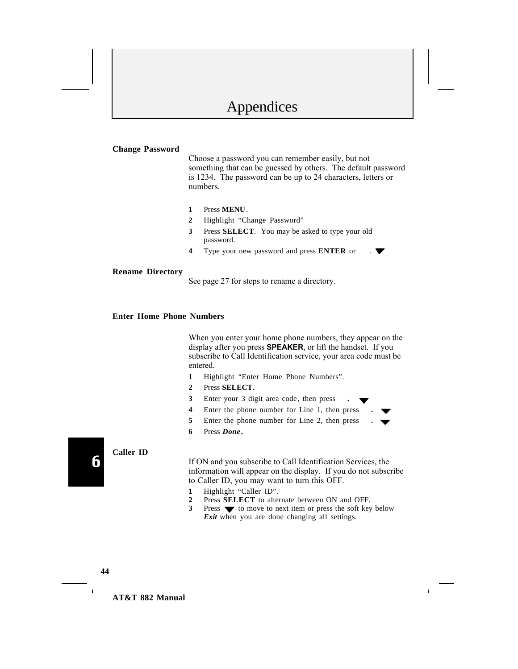#### **Change Password**

Choose a password you can remember easily, but not something that can be guessed by others. The default password is 1234. The password can be up to 24 characters, letters or numbers.

- **1** Press **MENU**.
- **2** Highlight "Change Password"
- **3** Press **SELECT**. You may be asked to type your old password.
- **4** Type your new password and press **ENTER** or .

#### **Rename Directory**

See page 27 for steps to rename a directory.

#### **Enter Home Phone Numbers**

When you enter your home phone numbers, they appear on the display after you press **SPEAKER**, or lift the handset. If you subscribe to Call Identification service, your area code must be entered.

- **1** Highlight "Enter Home Phone Numbers".
- **2** Press **SELECT**.
- **3** Enter your 3 digit area code, then press **.**
- **4** Enter the phone number for Line 1, then press **.**
- **5** Enter the phone number for Line 2, then press **.**
- **6** Press *Done***.**

**Caller ID**

If ON and you subscribe to Call Identification Services, the information will appear on the display. If you do not subscribe to Caller ID, you may want to turn this OFF.

- **1** Highlight "Caller ID".
- **2** Press **SELECT** to alternate between ON and OFF.
- **3** Press **v** to move to next item or press the soft key below *Exit* when you are done changing all settings.

**44**

6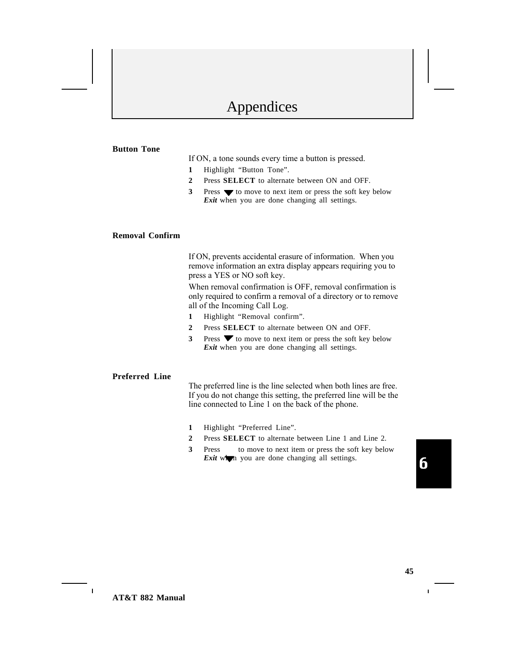#### **Button Tone**

If ON, a tone sounds every time a button is pressed.

- **1** Highlight "Button Tone".
- **2** Press **SELECT** to alternate between ON and OFF.
- **3** Press  $\blacktriangledown$  to move to next item or press the soft key below *Exit* when you are done changing all settings.

#### **Removal Confirm**

If ON, prevents accidental erasure of information. When you remove information an extra display appears requiring you to press a YES or NO soft key.

When removal confirmation is OFF, removal confirmation is only required to confirm a removal of a directory or to remove all of the Incoming Call Log.

- **1** Highlight "Removal confirm".
- **2** Press **SELECT** to alternate between ON and OFF.
- **3** Press  $\blacktriangledown$  to move to next item or press the soft key below *Exit* when you are done changing all settings.

#### **Preferred Line**

The preferred line is the line selected when both lines are free. If you do not change this setting, the preferred line will be the line connected to Line 1 on the back of the phone.

- **1** Highlight "Preferred Line".
- **2** Press **SELECT** to alternate between Line 1 and Line 2.
- **3** Press to move to next item or press the soft key below **Exit** when you are done changing all settings.

 $\blacksquare$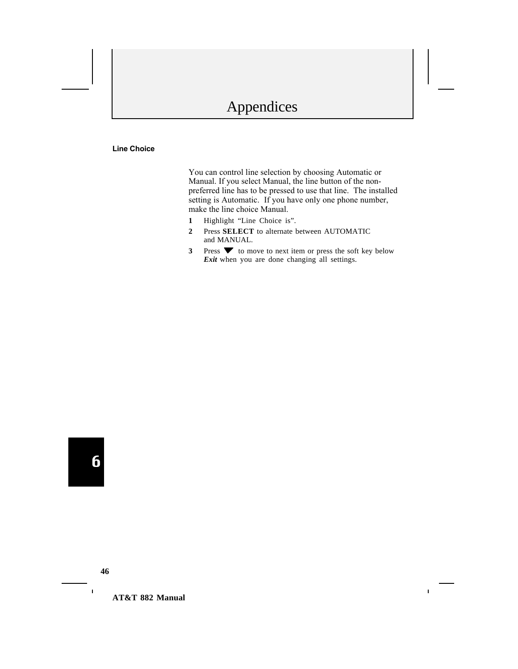#### **Line Choice**

You can control line selection by choosing Automatic or Manual. If you select Manual, the line button of the nonpreferred line has to be pressed to use that line. The installed setting is Automatic. If you have only one phone number, make the line choice Manual.

- **1** Highlight "Line Choice is".
- **2** Press **SELECT** to alternate between AUTOMATIC and MANUAL.
- **3** Press  $\blacktriangledown$  to move to next item or press the soft key below *Exit* when you are done changing all settings.

6

**46**

 $\mathbf{I}$ 

**AT&T 882 Manual**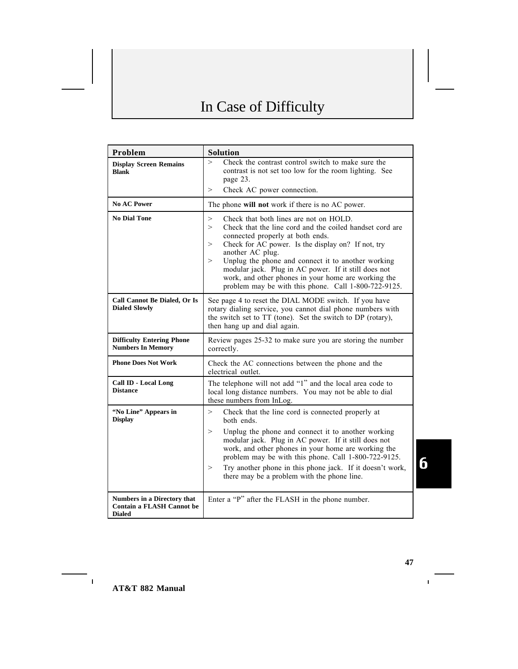# In Case of Difficulty

| Problem                                                                                 | <b>Solution</b>                                                                                                                                                                                                                                                                                                                                                                                                                                                        |
|-----------------------------------------------------------------------------------------|------------------------------------------------------------------------------------------------------------------------------------------------------------------------------------------------------------------------------------------------------------------------------------------------------------------------------------------------------------------------------------------------------------------------------------------------------------------------|
| <b>Display Screen Remains</b><br><b>Blank</b>                                           | $\geq$<br>Check the contrast control switch to make sure the<br>contrast is not set too low for the room lighting. See<br>page 23.                                                                                                                                                                                                                                                                                                                                     |
|                                                                                         | Check AC power connection.<br>$\,>$                                                                                                                                                                                                                                                                                                                                                                                                                                    |
| <b>No AC Power</b>                                                                      | The phone will not work if there is no AC power.                                                                                                                                                                                                                                                                                                                                                                                                                       |
| <b>No Dial Tone</b>                                                                     | Check that both lines are not on HOLD.<br>><br>$\geq$<br>Check that the line cord and the coiled handset cord are<br>connected properly at both ends.<br>Check for AC power. Is the display on? If not, try<br>><br>another AC plug.<br>><br>Unplug the phone and connect it to another working<br>modular jack. Plug in AC power. If it still does not<br>work, and other phones in your home are working the<br>problem may be with this phone. Call 1-800-722-9125. |
| Call Cannot Be Dialed, Or Is<br><b>Dialed Slowly</b>                                    | See page 4 to reset the DIAL MODE switch. If you have<br>rotary dialing service, you cannot dial phone numbers with<br>the switch set to TT (tone). Set the switch to DP (rotary),<br>then hang up and dial again.                                                                                                                                                                                                                                                     |
| <b>Difficulty Entering Phone</b><br><b>Numbers In Memory</b>                            | Review pages 25-32 to make sure you are storing the number<br>correctly.                                                                                                                                                                                                                                                                                                                                                                                               |
| <b>Phone Does Not Work</b>                                                              | Check the AC connections between the phone and the<br>electrical outlet.                                                                                                                                                                                                                                                                                                                                                                                               |
| Call ID - Local Long<br><b>Distance</b>                                                 | The telephone will not add "1" and the local area code to<br>local long distance numbers. You may not be able to dial<br>these numbers from InLog.                                                                                                                                                                                                                                                                                                                     |
| "No Line" Appears in<br><b>Display</b>                                                  | Check that the line cord is connected properly at<br>><br>both ends.<br>Unplug the phone and connect it to another working<br>><br>modular jack. Plug in AC power. If it still does not<br>work, and other phones in your home are working the<br>problem may be with this phone. Call 1-800-722-9125.<br>6<br>Try another phone in this phone jack. If it doesn't work,<br>$\, > \,$<br>there may be a problem with the phone line.                                   |
| <b>Numbers in a Directory that</b><br><b>Contain a FLASH Cannot be</b><br><b>Dialed</b> | Enter a "P" after the FLASH in the phone number.                                                                                                                                                                                                                                                                                                                                                                                                                       |

 $\blacksquare$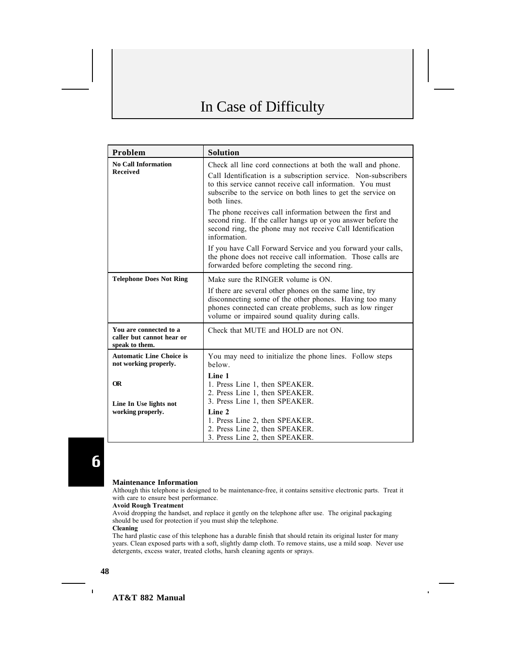## In Case of Difficulty

| Problem                                                               | <b>Solution</b>                                                                                                                                                                                                                  |
|-----------------------------------------------------------------------|----------------------------------------------------------------------------------------------------------------------------------------------------------------------------------------------------------------------------------|
| <b>No Call Information</b>                                            | Check all line cord connections at both the wall and phone.                                                                                                                                                                      |
| <b>Received</b>                                                       | Call Identification is a subscription service. Non-subscribers<br>to this service cannot receive call information. You must<br>subscribe to the service on both lines to get the service on<br>both lines.                       |
|                                                                       | The phone receives call information between the first and<br>second ring. If the caller hangs up or you answer before the<br>second ring, the phone may not receive Call Identification<br>information.                          |
|                                                                       | If you have Call Forward Service and you forward your calls,<br>the phone does not receive call information. Those calls are<br>forwarded before completing the second ring.                                                     |
| <b>Telephone Does Not Ring</b>                                        | Make sure the RINGER volume is ON.                                                                                                                                                                                               |
|                                                                       | If there are several other phones on the same line, try<br>disconnecting some of the other phones. Having too many<br>phones connected can create problems, such as low ringer<br>volume or impaired sound quality during calls. |
| You are connected to a<br>caller but cannot hear or<br>speak to them. | Check that MUTE and HOLD are not ON.                                                                                                                                                                                             |
| <b>Automatic Line Choice is</b><br>not working properly.              | You may need to initialize the phone lines. Follow steps<br>below.                                                                                                                                                               |
| <b>OR</b><br>Line In Use lights not                                   | Line 1<br>1. Press Line 1, then SPEAKER.<br>2. Press Line 1, then SPEAKER.<br>3. Press Line 1, then SPEAKER.                                                                                                                     |
| working properly.                                                     | Line 2<br>1. Press Line 2, then SPEAKER.<br>2. Press Line 2, then SPEAKER.<br>3. Press Line 2, then SPEAKER.                                                                                                                     |

#### **Maintenance Information**

Although this telephone is designed to be maintenance-free, it contains sensitive electronic parts. Treat it with care to ensure best performance.

#### **Avoid Rough Treatment**

Avoid dropping the handset, and replace it gently on the telephone after use. The original packaging should be used for protection if you must ship the telephone.

#### **Cleaning**

The hard plastic case of this telephone has a durable finish that should retain its original luster for many years. Clean exposed parts with a soft, slightly damp cloth. To remove stains, use a mild soap. Never use detergents, excess water, treated cloths, harsh cleaning agents or sprays.

 $\blacksquare$ 

**AT&T 882 Manual**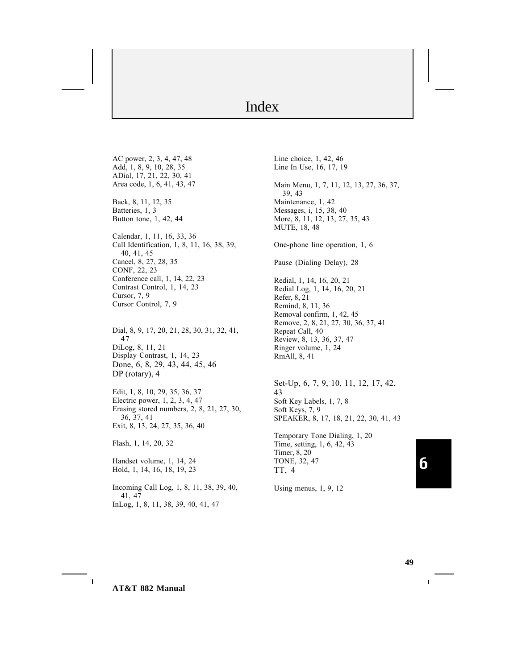## Index

AC power, 2, 3, 4, 47, 48 Add, 1, 8, 9, 10, 28, 35 ADial, 17, 21, 22, 30, 41 Area code, 1, 6, 41, 43, 47 Back, 8, 11, 12, 35 Batteries, 1, 3 Button tone, 1, 42, 44 Calendar, 1, 11, 16, 33, 36 Call Identification, 1, 8, 11, 16, 38, 39, 40, 41, 45 Cancel, 8, 27, 28, 35 CONF, 22, 23 Conference call, 1, 14, 22, 23 Contrast Control, 1, 14, 23 Cursor, 7, 9

Cursor Control, 7, 9

Dial, 8, 9, 17, 20, 21, 28, 30, 31, 32, 41, 47 DiLog, 8, 11, 21 Display Contrast, 1, 14, 23 Done, 6, 8, 29, 43, 44, 45, 46 DP (rotary), 4

Edit, 1, 8, 10, 29, 35, 36, 37 Electric power, 1, 2, 3, 4, 47 Erasing stored numbers, 2, 8, 21, 27, 30, 36, 37, 41 Exit, 8, 13, 24, 27, 35, 36, 40

Flash, 1, 14, 20, 32

Handset volume, 1, 14, 24 Hold, 1, 14, 16, 18, 19, 23

Incoming Call Log, 1, 8, 11, 38, 39, 40, 41, 47 InLog, 1, 8, 11, 38, 39, 40, 41, 47

Line choice, 1, 42, 46 Line In Use, 16, 17, 19 Main Menu, 1, 7, 11, 12, 13, 27, 36, 37, 39, 43 Maintenance, 1, 42 Messages, i, 15, 38, 40 More, 8, 11, 12, 13, 27, 35, 43 MUTE, 18, 48 One-phone line operation, 1, 6 Pause (Dialing Delay), 28

Redial, 1, 14, 16, 20, 21 Redial Log, 1, 14, 16, 20, 21 Refer, 8, 21 Remind, 8, 11, 36 Removal confirm, 1, 42, 45 Remove, 2, 8, 21, 27, 30, 36, 37, 41 Repeat Call, 40 Review, 8, 13, 36, 37, 47 Ringer volume, 1, 24 RmAll, 8, 41

Set-Up, 6, 7, 9, 10, 11, 12, 17, 42, 43 Soft Key Labels, 1, 7, 8 Soft Keys, 7, 9 SPEAKER, 8, 17, 18, 21, 22, 30, 41, 43

Temporary Tone Dialing, 1, 20 Time, setting, 1, 6, 42, 43 Timer, 8, 20 TONE, 32, 47 TT, 4

Using menus, 1, 9, 12

 $\blacksquare$